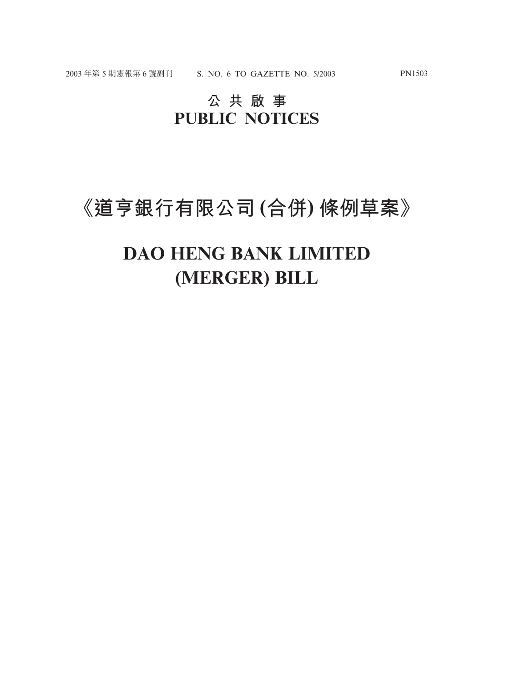## **公共啟事 PUBLIC NOTICES**

# **《道亨銀行有限公司 (合併) 條例草案》**

# **DAO HENG BANK LIMITED (MERGER) BILL**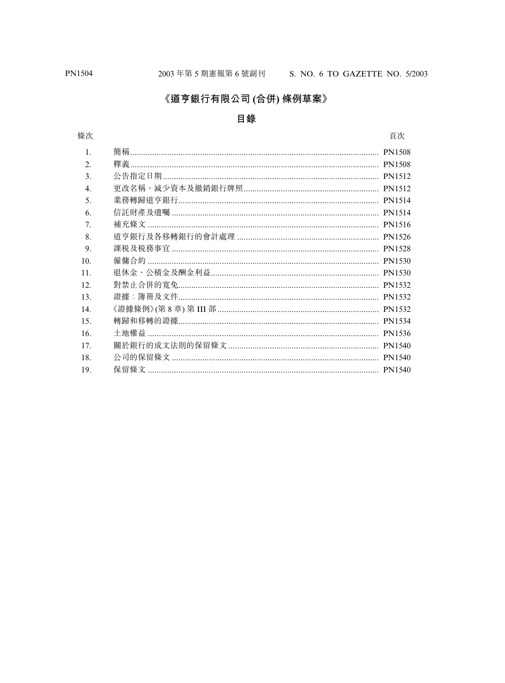#### 《道亨銀行有限公司 (合併) 條例草案》

#### 目錄

#### 條次

頁次

| 1.  |  |
|-----|--|
| 2.  |  |
| 3.  |  |
| 4.  |  |
| 5.  |  |
| 6.  |  |
| 7.  |  |
| 8.  |  |
| 9.  |  |
| 10. |  |
| 11. |  |
| 12. |  |
| 13. |  |
| 14. |  |
| 15. |  |
| 16. |  |
| 17. |  |
| 18. |  |
| 19. |  |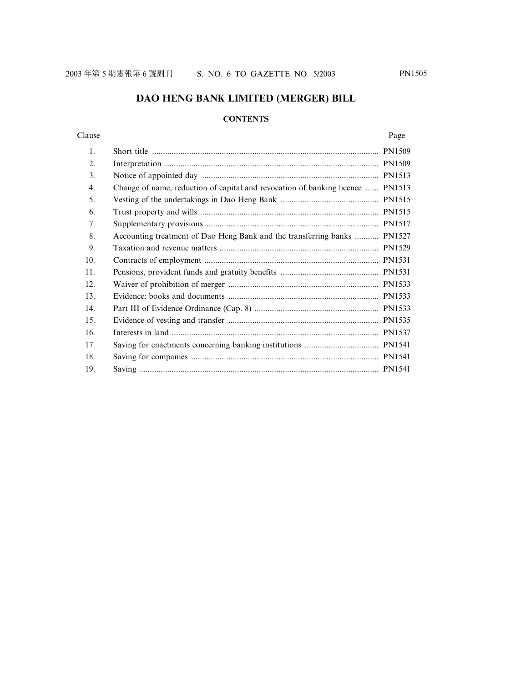#### **DAO HENG BANK LIMITED (MERGER) BILL**

#### **CONTENTS**

#### Clause Page

| 1.  |                                                                                |  |
|-----|--------------------------------------------------------------------------------|--|
| 2.  |                                                                                |  |
| 3.  |                                                                                |  |
| 4.  | Change of name, reduction of capital and revocation of banking licence  PN1513 |  |
| 5.  |                                                                                |  |
| 6.  |                                                                                |  |
| 7.  |                                                                                |  |
| 8.  | Accounting treatment of Dao Heng Bank and the transferring banks  PN1527       |  |
| 9.  |                                                                                |  |
| 10. |                                                                                |  |
| 11. |                                                                                |  |
| 12. |                                                                                |  |
| 13. |                                                                                |  |
| 14. |                                                                                |  |
| 15. |                                                                                |  |
| 16. |                                                                                |  |
| 17. |                                                                                |  |
| 18. |                                                                                |  |
| 19. |                                                                                |  |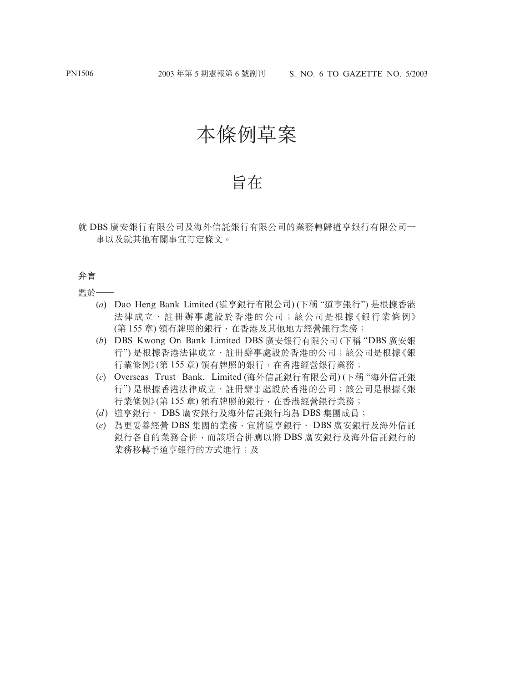# 本條例草案

### 旨在

就 DBS 廣安銀行有限公司及海外信託銀行有限公司的業務轉歸道亨銀行有限公司一 事以及就其他有關事宜訂定條文。

#### **弁言**

鑑於一

- (*a*) Dao Heng Bank Limited (道亨銀行有限公司) (下稱 "道亨銀行") 是根據香港 法律成立、註冊辦事處設於香港的公司;該公司是根據《銀行業條例》 (第 155 章) 領有牌照的銀行,在香港及其他地方經營銀行業務;
- (*b*) DBS Kwong On Bank Limited DBS 廣安銀行有限公司 (下稱 "DBS 廣安銀 行") 是根據香港法律成立、註冊辦事處設於香港的公司;該公司是根據《銀 行業條例》(第 155 章) 領有牌照的銀行,在香港經營銀行業務;
- (*c*) Overseas Trust Bank, Limited (海外信託銀行有限公司) (下稱 "海外信託銀 行") 是根據香港法律成立、註冊辦事處設於香港的公司;該公司是根據《銀 行業條例》(第 155 章) 領有牌照的銀行,在香港經營銀行業務;
- (*d* ) 道亨銀行、 DBS 廣安銀行及海外信託銀行均為 DBS 集團成員;
- (*e*) 為更妥善經營 DBS 集團的業務,宜將道亨銀行、 DBS 廣安銀行及海外信託 銀行各自的業務合併,而該項合併應以將 DBS 廣安銀行及海外信託銀行的 業務移轉予道亨銀行的方式進行;及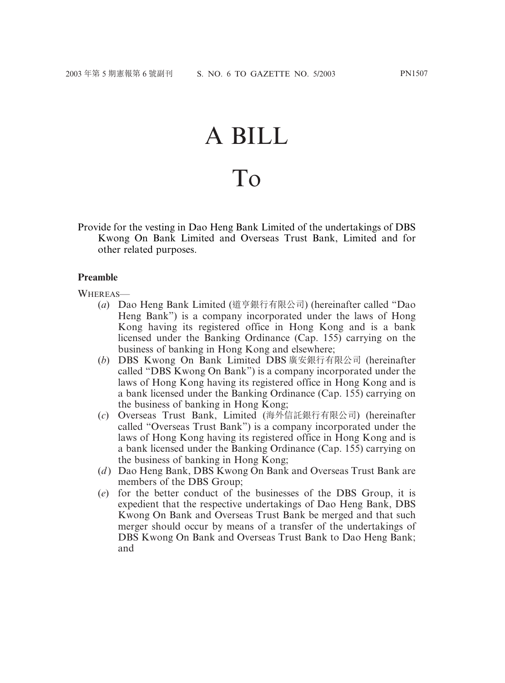# A BILL

# To

Provide for the vesting in Dao Heng Bank Limited of the undertakings of DBS Kwong On Bank Limited and Overseas Trust Bank, Limited and for other related purposes.

#### **Preamble**

WHEREAS—

- (*a*) Dao Heng Bank Limited (道亨銀行有限公司) (hereinafter called "Dao Heng Bank") is a company incorporated under the laws of Hong Kong having its registered office in Hong Kong and is a bank licensed under the Banking Ordinance (Cap. 155) carrying on the business of banking in Hong Kong and elsewhere;
- (*b*) DBS Kwong On Bank Limited DBS 廣安銀行有限公司 (hereinafter called "DBS Kwong On Bank") is a company incorporated under the laws of Hong Kong having its registered office in Hong Kong and is a bank licensed under the Banking Ordinance (Cap. 155) carrying on the business of banking in Hong Kong;
- (*c*) Overseas Trust Bank, Limited (海外信託銀行有限公司) (hereinafter called "Overseas Trust Bank") is a company incorporated under the laws of Hong Kong having its registered office in Hong Kong and is a bank licensed under the Banking Ordinance (Cap. 155) carrying on the business of banking in Hong Kong;
- (*d*) Dao Heng Bank, DBS Kwong On Bank and Overseas Trust Bank are members of the DBS Group;
- (*e*) for the better conduct of the businesses of the DBS Group, it is expedient that the respective undertakings of Dao Heng Bank, DBS Kwong On Bank and Overseas Trust Bank be merged and that such merger should occur by means of a transfer of the undertakings of DBS Kwong On Bank and Overseas Trust Bank to Dao Heng Bank; and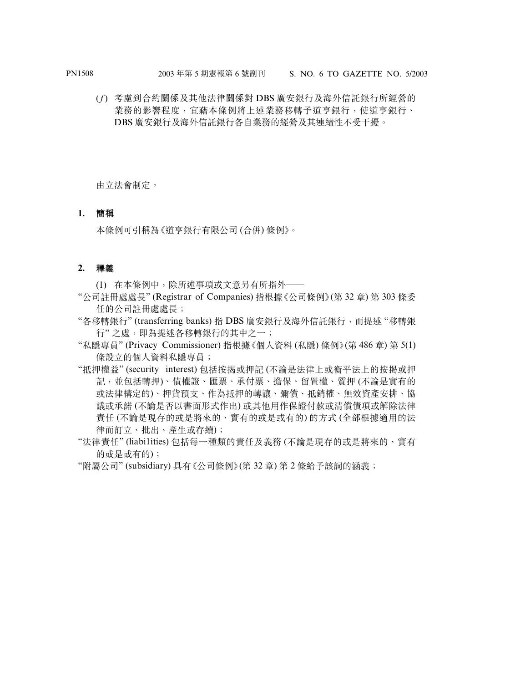(*f*) 考慮到合約關係及其他法律關係對 DBS 廣安銀行及海外信託銀行所經營的 業務的影響程度,宜藉本條例將上述業務移轉予道亨銀行,使道亨銀行、 DBS 廣安銀行及海外信託銀行各自業務的經營及其連續性不受干擾。

由立法會制定。

#### **1. 簡稱**

本條例可引稱為《道亨銀行有限公司 (合併) 條例》。

#### **2. 釋義**

(1) 在本條例中,除所述事項或文意另有所指外——

- "公司註冊處處長" (Registrar of Companies) 指根據《公司條例》(第 32 章) 第 303 條委 任的公司註冊處處長;
- "各移轉銀行" (transferring banks) 指 DBS 廣安銀行及海外信託銀行,而提述 "移轉銀 行" 之處,即為提述各移轉銀行的其中之一;
- "私隱專員" (Privacy Commissioner) 指根據《個人資料 (私隱) 條例》(第 486 章) 第 5(1) 條設立的個人資料私隱專員;
- "抵押權益" (security interest) 包括按揭或押記 (不論是法律上或衡平法上的按揭或押 記,並包括轉押)、債權證、匯票、承付票、擔保、留置權、質押 (不論是實有的 或法律構定的)、押貨預支、作為抵押的轉讓、彌償、抵銷權、無效資產安排、協 議或承諾 (不論是否以書面形式作出) 或其他用作保證付款或清償債項或解除法律 責任 (不論是現存的或是將來的、實有的或是或有的) 的方式 (全部根據適用的法 律而訂立、批出、產生或存續);
- "法律責任" (liabi1ities) 包括每一種類的責任及義務 (不論是現存的或是將來的、實有 的或是或有的);
- "附屬公司" (subsidiary) 具有《公司條例》(第 32 章) 第 2 條給予該詞的涵義;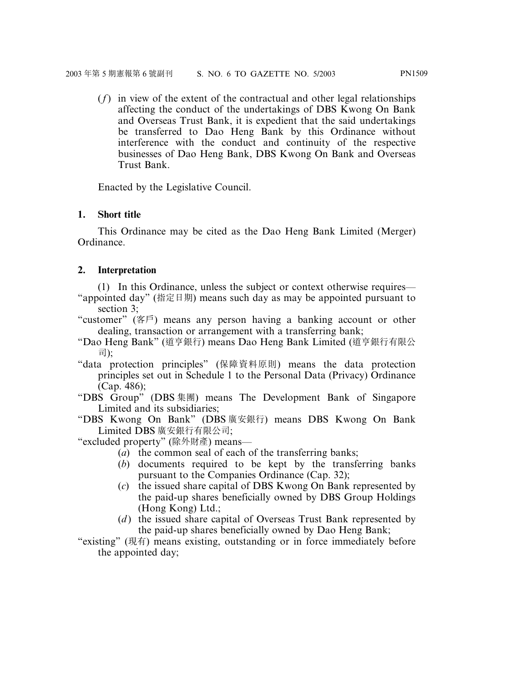(*f*) in view of the extent of the contractual and other legal relationships affecting the conduct of the undertakings of DBS Kwong On Bank and Overseas Trust Bank, it is expedient that the said undertakings be transferred to Dao Heng Bank by this Ordinance without interference with the conduct and continuity of the respective businesses of Dao Heng Bank, DBS Kwong On Bank and Overseas Trust Bank.

Enacted by the Legislative Council.

#### **1. Short title**

This Ordinance may be cited as the Dao Heng Bank Limited (Merger) Ordinance.

#### **2. Interpretation**

(1) In this Ordinance, unless the subject or context otherwise requires— "appointed day" (指定日期) means such day as may be appointed pursuant to section 3;

- "customer" (客戶) means any person having a banking account or other dealing, transaction or arrangement with a transferring bank;
- "Dao Heng Bank" (道亨銀行) means Dao Heng Bank Limited (道亨銀行有限公 司);
- "data protection principles" (保障資料原則) means the data protection principles set out in Schedule 1 to the Personal Data (Privacy) Ordinance (Cap. 486);
- "DBS Group" (DBS 集團) means The Development Bank of Singapore Limited and its subsidiaries;
- "DBS Kwong On Bank" (DBS 廣安銀行) means DBS Kwong On Bank Limited DBS 廣安銀行有限公司;
- "excluded property" (除外財產) means—
	- (*a*) the common seal of each of the transferring banks;
	- (*b*) documents required to be kept by the transferring banks pursuant to the Companies Ordinance (Cap. 32);
	- (*c*) the issued share capital of DBS Kwong On Bank represented by the paid-up shares beneficially owned by DBS Group Holdings (Hong Kong) Ltd.;
	- (*d*) the issued share capital of Overseas Trust Bank represented by the paid-up shares beneficially owned by Dao Heng Bank;

"existing" (現有) means existing, outstanding or in force immediately before the appointed day;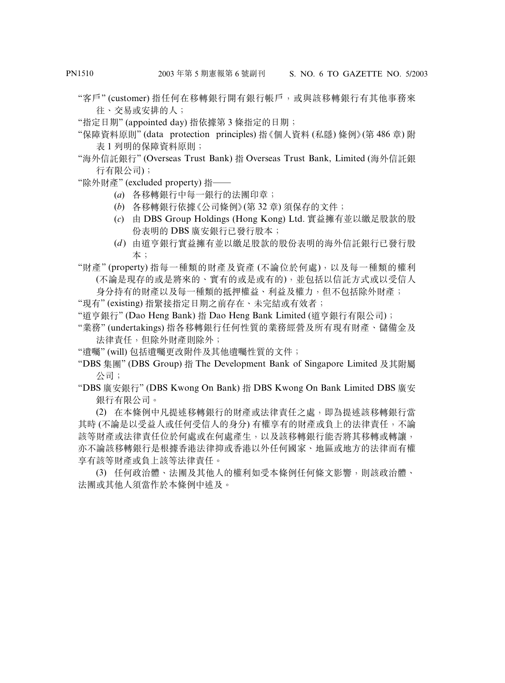- "客戶" (customer) 指任何在移轉銀行開有銀行帳戶,或與該移轉銀行有其他事務來 往、交易或安排的人;
- "指定日期" (appointed day) 指依據第 3 條指定的日期;
- "保障資料原則" (data protection principles) 指《個人資料 (私隱) 條例》(第 486 章) 附 表 1 列明的保障資料原則;
- "海外信託銀行" (Overseas Trust Bank) 指 Overseas Trust Bank, Limited (海外信託銀 行有限公司);
- "除外財產" (excluded property) 指——
	- (*a*) 各移轉銀行中每一銀行的法團印章;
	- (*b*) 各移轉銀行依據《公司條例》(第 32 章) 須保存的文件;
	- (*c*) 由 DBS Group Holdings (Hong Kong) Ltd. 實益擁有並以繳足股款的股 份表明的 DBS 廣安銀行已發行股本;
	- (*d* ) 由道亨銀行實益擁有並以繳足股款的股份表明的海外信託銀行已發行股 本;

"財產" (property) 指每一種類的財產及資產 (不論位於何處),以及每一種類的權利 (不論是現存的或是將來的、實有的或是或有的),並包括以信託方式或以受信人

身分持有的財產以及每一種類的抵押權益、利益及權力,但不包括除外財產;

"現有" (existing) 指緊接指定日期之前存在、未完結或有效者;

- "道亨銀行" (Dao Heng Bank) 指 Dao Heng Bank Limited (道亨銀行有限公司);
- "業務" (undertakings) 指各移轉銀行任何性質的業務經營及所有現有財產、儲備金及 法律責任,但除外財產則除外;
- "遺囑" (will) 包括遺囑更改附件及其他遺囑性質的文件;
- "DBS 集團" (DBS Group) 指 The Development Bank of Singapore Limited 及其附屬 公司;

"DBS 廣安銀行" (DBS Kwong On Bank) 指 DBS Kwong On Bank Limited DBS 廣安 銀行有限公司。

(2) 在本條例中凡提述移轉銀行的財產或法律責任之處,即為提述該移轉銀行當 其時 (不論是以受益人或任何受信人的身分) 有權享有的財產或負上的法律責任,不論 該等財產或法律責任位於何處或在何處產生,以及該移轉銀行能否將其移轉或轉讓, 亦不論該移轉銀行是根據香港法律抑或香港以外任何國家、地區或地方的法律而有權 享有該等財產或負上該等法律責任。

(3) 任何政治體、法團及其他人的權利如受本條例任何條文影響,則該政治體、 法團或其他人須當作於本條例中述及。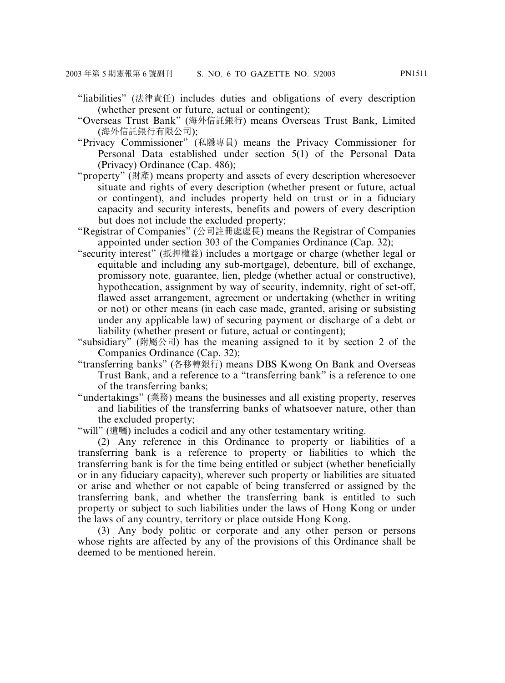- "liabilities" (法律責任) includes duties and obligations of every description (whether present or future, actual or contingent);
- "Overseas Trust Bank" (海外信託銀行) means Overseas Trust Bank, Limited (海外信託銀行有限公司);
- "Privacy Commissioner" (私隱專員) means the Privacy Commissioner for Personal Data established under section 5(1) of the Personal Data (Privacy) Ordinance (Cap. 486);
- "property" (財產) means property and assets of every description wheresoever situate and rights of every description (whether present or future, actual or contingent), and includes property held on trust or in a fiduciary capacity and security interests, benefits and powers of every description but does not include the excluded property;
- "Registrar of Companies" (公司註冊處處長) means the Registrar of Companies appointed under section 303 of the Companies Ordinance (Cap. 32);
- "security interest" (抵押權益) includes a mortgage or charge (whether legal or equitable and including any sub-mortgage), debenture, bill of exchange, promissory note, guarantee, lien, pledge (whether actual or constructive), hypothecation, assignment by way of security, indemnity, right of set-off, flawed asset arrangement, agreement or undertaking (whether in writing or not) or other means (in each case made, granted, arising or subsisting under any applicable law) of securing payment or discharge of a debt or liability (whether present or future, actual or contingent);
- "subsidiary" (附屬公司) has the meaning assigned to it by section 2 of the Companies Ordinance (Cap. 32);
- "transferring banks" (各移轉銀行) means DBS Kwong On Bank and Overseas Trust Bank, and a reference to a "transferring bank" is a reference to one of the transferring banks;
- "undertakings" (業務) means the businesses and all existing property, reserves and liabilities of the transferring banks of whatsoever nature, other than the excluded property;

"will" (遺囑) includes a codicil and any other testamentary writing.

(2) Any reference in this Ordinance to property or liabilities of a transferring bank is a reference to property or liabilities to which the transferring bank is for the time being entitled or subject (whether beneficially or in any fiduciary capacity), wherever such property or liabilities are situated or arise and whether or not capable of being transferred or assigned by the transferring bank, and whether the transferring bank is entitled to such property or subject to such liabilities under the laws of Hong Kong or under the laws of any country, territory or place outside Hong Kong.

(3) Any body politic or corporate and any other person or persons whose rights are affected by any of the provisions of this Ordinance shall be deemed to be mentioned herein.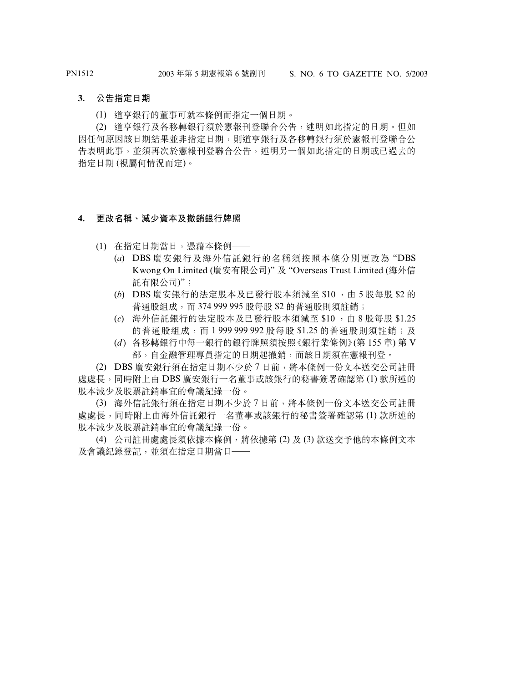#### **3. 公告指定日期**

(1) 道亨銀行的董事可就本條例而指定一個日期。

(2) 道亨銀行及各移轉銀行須於憲報刊登聯合公告,述明如此指定的日期。但如 因任何原因該日期結果並非指定日期,則道亨銀行及各移轉銀行須於憲報刊登聯合公 告表明此事,並須再次於憲報刊登聯合公告,述明另一個如此指定的日期或已過去的 指定日期 (視屬何情況而定)。

#### **4. 更改名稱、減少資本及撤銷銀行牌照**

- (1) 在指定日期當日,憑藉本條例——
	- (*a*) DBS 廣安銀行及海外信託銀行的名稱須按照本條分別更改為 "DBS Kwong On Limited (廣安有限公司)" 及 "Overseas Trust Limited (海外信 託有限公司)";
	- (b) DBS 廣安銀行的法定股本及已發行股本須減至 \$10,由5股每股 \$2的 普通股組成,而 374 999 995 股每股 \$2 的普通股則須註銷;
	- (*c*) 海外信託銀行的法定股本及已發行股本須減至 \$10 ,由 8 股每股 \$1.25 的普通股組成,而 1 999 999 992 股每股 \$1.25 的普通股則須詳銷;及
	- (*d* ) 各移轉銀行中每一銀行的銀行牌照須按照《銀行業條例》(第 155 章) 第 V 部,自金融管理專員指定的日期起撤銷,而該日期須在憲報刊登。

(2) DBS 廣安銀行須在指定日期不少於 7 日前,將本條例一份文本送交公司註冊 處處長,同時附上由 DBS 廣安銀行一名董事或該銀行的秘書簽署確認第 (1) 款所述的 股本減少及股票註銷事宜的會議紀錄一份。

(3) 海外信託銀行須在指定日期不少於 7 日前,將本條例一份文本送交公司註冊 處處長,同時附上由海外信託銀行一名董事或該銀行的秘書簽署確認第 (1) 款所述的 股本減少及股票註銷事宜的會議紀錄一份。

(4) 公司註冊處處長須依據本條例,將依據第 (2) 及 (3) 款送交予他的本條例文本 及會議紀錄登記,並須在指定日期當日——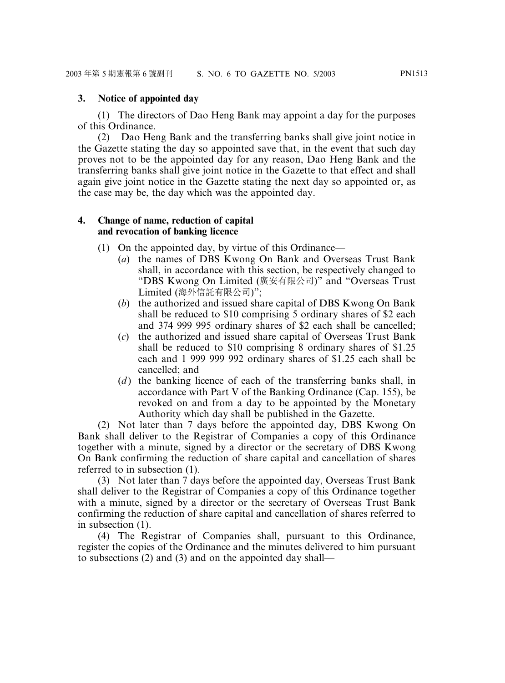#### **3. Notice of appointed day**

(1) The directors of Dao Heng Bank may appoint a day for the purposes of this Ordinance.

(2) Dao Heng Bank and the transferring banks shall give joint notice in the Gazette stating the day so appointed save that, in the event that such day proves not to be the appointed day for any reason, Dao Heng Bank and the transferring banks shall give joint notice in the Gazette to that effect and shall again give joint notice in the Gazette stating the next day so appointed or, as the case may be, the day which was the appointed day.

#### **4. Change of name, reduction of capital and revocation of banking licence**

- (1) On the appointed day, by virtue of this Ordinance—
	- (*a*) the names of DBS Kwong On Bank and Overseas Trust Bank shall, in accordance with this section, be respectively changed to "DBS Kwong On Limited (廣安有限公司)" and "Overseas Trust Limited (海外信託有限公司)";
	- (*b*) the authorized and issued share capital of DBS Kwong On Bank shall be reduced to \$10 comprising 5 ordinary shares of \$2 each and 374 999 995 ordinary shares of \$2 each shall be cancelled;
	- (*c*) the authorized and issued share capital of Overseas Trust Bank shall be reduced to \$10 comprising 8 ordinary shares of \$1.25 each and 1 999 999 992 ordinary shares of \$1.25 each shall be cancelled; and
	- (*d*) the banking licence of each of the transferring banks shall, in accordance with Part V of the Banking Ordinance (Cap. 155), be revoked on and from a day to be appointed by the Monetary Authority which day shall be published in the Gazette.

(2) Not later than 7 days before the appointed day, DBS Kwong On Bank shall deliver to the Registrar of Companies a copy of this Ordinance together with a minute, signed by a director or the secretary of DBS Kwong On Bank confirming the reduction of share capital and cancellation of shares referred to in subsection (1).

(3) Not later than 7 days before the appointed day, Overseas Trust Bank shall deliver to the Registrar of Companies a copy of this Ordinance together with a minute, signed by a director or the secretary of Overseas Trust Bank confirming the reduction of share capital and cancellation of shares referred to in subsection (1).

(4) The Registrar of Companies shall, pursuant to this Ordinance, register the copies of the Ordinance and the minutes delivered to him pursuant to subsections (2) and (3) and on the appointed day shall—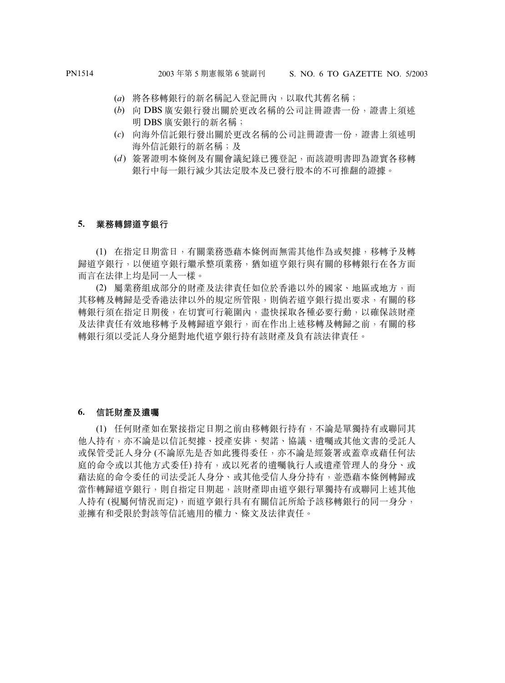- (*a*) 將各移轉銀行的新名稱記入登記冊內,以取代其舊名稱;
- (*b*) 向 DBS 廣安銀行發出關於更改名稱的公司註冊證書一份,證書上須述 明 DBS 廣安銀行的新名稱;
- (*c*) 向海外信託銀行發出關於更改名稱的公司註冊證書一份,證書上須述明 海外信託銀行的新名稱;及
- (*d* ) 簽署證明本條例及有關會議紀錄已獲登記,而該證明書即為證實各移轉 銀行中每一銀行減少其法定股本及已發行股本的不可推翻的證據。

#### **5. 業務轉歸道亨銀行**

(1) 在指定日期當日,有關業務憑藉本條例而無需其他作為或契據,移轉予及轉 歸道亨銀行,以便道亨銀行繼承整項業務,猶如道亨銀行與有關的移轉銀行在各方面 而言在法律上均是同一人一樣。

(2) 屬業務組成部分的財產及法律責任如位於香港以外的國家、地區或地方,而 其移轉及轉歸是受香港法律以外的規定所管限,則倘若道亨銀行提出要求,有關的移 轉銀行須在指定日期後,在切實可行範圍內,盡快採取各種必要行動,以確保該財產 及法律責任有效地移轉予及轉歸道亨銀行,而在作出上述移轉及轉歸之前,有關的移 轉銀行須以受託人身分絕對地代道亨銀行持有該財產及負有該法律責任。

#### **6. 信託財產及遺囑**

(1) 任何財產如在緊接指定日期之前由移轉銀行持有,不論是單獨持有或聯同其 他人持有,亦不論是以信託契據、授產安排、契諾、協議、遺囑或其他文書的受託人 或保管受託人身分 (不論原先是否如此獲得委任,亦不論是經簽署或蓋章或藉任何法 庭的命令或以其他方式委任) 持有,或以死者的遺囑執行人或遺產管理人的身分、或 藉法庭的命令委任的司法受託人身分、或其他受信人身分持有,並憑藉本條例轉歸或 當作轉歸道亨銀行,則自指定日期起,該財產即由道亨銀行單獨持有或聯同上述其他 人持有 (視屬何情況而定),而道亨銀行具有有關信託所給予該移轉銀行的同一身分, 並擁有和受限於對該等信託適用的權力、條文及法律責任。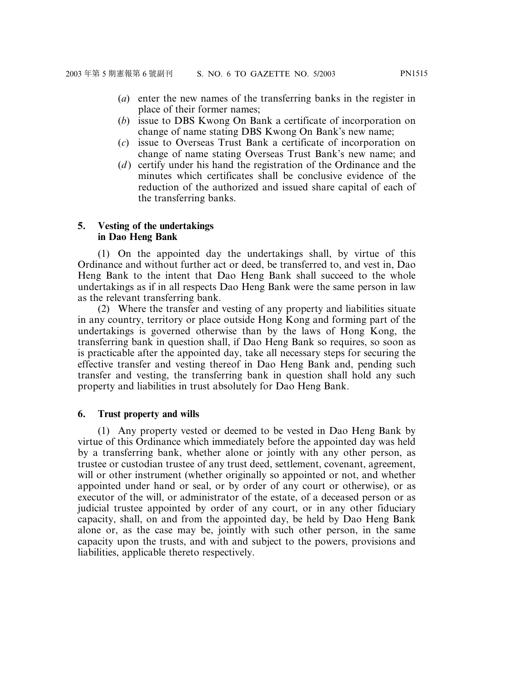- (*a*) enter the new names of the transferring banks in the register in place of their former names;
- (*b*) issue to DBS Kwong On Bank a certificate of incorporation on change of name stating DBS Kwong On Bank's new name;
- (*c*) issue to Overseas Trust Bank a certificate of incorporation on change of name stating Overseas Trust Bank's new name; and
- (*d* ) certify under his hand the registration of the Ordinance and the minutes which certificates shall be conclusive evidence of the reduction of the authorized and issued share capital of each of the transferring banks.

#### **5. Vesting of the undertakings in Dao Heng Bank**

(1) On the appointed day the undertakings shall, by virtue of this Ordinance and without further act or deed, be transferred to, and vest in, Dao Heng Bank to the intent that Dao Heng Bank shall succeed to the whole undertakings as if in all respects Dao Heng Bank were the same person in law as the relevant transferring bank.

(2) Where the transfer and vesting of any property and liabilities situate in any country, territory or place outside Hong Kong and forming part of the undertakings is governed otherwise than by the laws of Hong Kong, the transferring bank in question shall, if Dao Heng Bank so requires, so soon as is practicable after the appointed day, take all necessary steps for securing the effective transfer and vesting thereof in Dao Heng Bank and, pending such transfer and vesting, the transferring bank in question shall hold any such property and liabilities in trust absolutely for Dao Heng Bank.

#### **6. Trust property and wills**

(1) Any property vested or deemed to be vested in Dao Heng Bank by virtue of this Ordinance which immediately before the appointed day was held by a transferring bank, whether alone or jointly with any other person, as trustee or custodian trustee of any trust deed, settlement, covenant, agreement, will or other instrument (whether originally so appointed or not, and whether appointed under hand or seal, or by order of any court or otherwise), or as executor of the will, or administrator of the estate, of a deceased person or as judicial trustee appointed by order of any court, or in any other fiduciary capacity, shall, on and from the appointed day, be held by Dao Heng Bank alone or, as the case may be, jointly with such other person, in the same capacity upon the trusts, and with and subject to the powers, provisions and liabilities, applicable thereto respectively.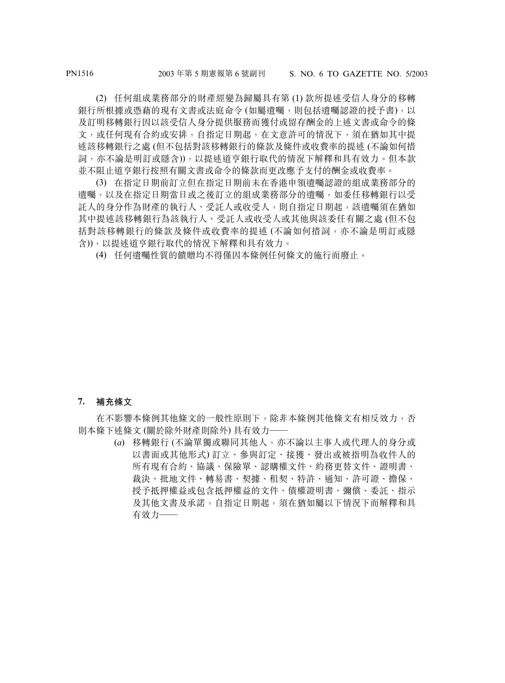(2) 任何組成業務部分的財產經變為歸屬具有第 (1) 款所提述受信人身分的移轉 銀行所根據或憑藉的現有文書或法庭命令 (如屬遺囑,則包括遺囑認證的授予書),以 及訂明移轉銀行因以該受信人身分提供服務而獲付或留存酬金的上述文書或命令的條 文, 或任何現有合約或安排, 自指定日期起, 在文意許可的情況下, 須在猶如其中提 述該移轉銀行之處 (但不包括對該移轉銀行的條款及條件或收費率的提述 (不論如何措 詞,亦不論是明訂或隱含)),以提述道亨銀行取代的情況下解釋和具有效力。但本款 並不阻止道亨銀行按照有關文書或命令的條款而更改應予支付的酬金或收費率。

(3) 在指定日期前訂立但在指定日期前未在香港申領遺囑認證的組成業務部分的 遺囑,以及在指定日期當日或之後訂立的組成業務部分的遺囑,如委任移轉銀行以受 託人的身分作為財產的執行人、受託人或收受人,則自指定日期起,該遺囑須在猶如 其中提述該移轉銀行為該執行人、受託人或收受人或其他與該委任有關之處 (但不包 括對該移轉銀行的條款及條件或收費率的提述 (不論如何措詞,亦不論是明訂或隱 含)),以提述道亨銀行取代的情況下解釋和具有效力。

(4) 任何遺囑性質的饋贈均不得僅因本條例任何條文的施行而廢止。

**7. 補充條文**

在不影響本條例其他條文的一般性原則下,除非本條例其他條文有相反效力,否 則本條下述條文 (關於除外財產則除外) 具有效力——

> (*a*) 移轉銀行 (不論單獨或聯同其他人,亦不論以主事人或代理人的身分或 以書面或其他形式) 訂立、參與訂定、接獲、發出或被指明為收件人的 所有現有合約、協議、保險單、認購權文件、約務更替文件、證明書、 裁決、批地文件、轉易書、契據、租契、特許、通知、許可證、擔保、 授予抵押權益或包含抵押權益的文件、債權證明書、彌償、委託、指示 及其他文書及承諾,自指定日期起,須在猶如屬以下情況下而解釋和具 有效力——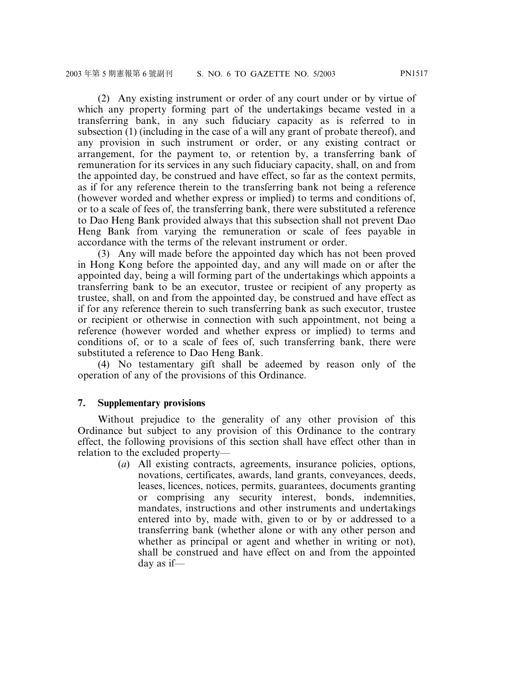(2) Any existing instrument or order of any court under or by virtue of which any property forming part of the undertakings became vested in a transferring bank, in any such fiduciary capacity as is referred to in subsection (1) (including in the case of a will any grant of probate thereof), and any provision in such instrument or order, or any existing contract or arrangement, for the payment to, or retention by, a transferring bank of remuneration for its services in any such fiduciary capacity, shall, on and from the appointed day, be construed and have effect, so far as the context permits, as if for any reference therein to the transferring bank not being a reference (however worded and whether express or implied) to terms and conditions of, or to a scale of fees of, the transferring bank, there were substituted a reference to Dao Heng Bank provided always that this subsection shall not prevent Dao Heng Bank from varying the remuneration or scale of fees payable in accordance with the terms of the relevant instrument or order.

(3) Any will made before the appointed day which has not been proved in Hong Kong before the appointed day, and any will made on or after the appointed day, being a will forming part of the undertakings which appoints a transferring bank to be an executor, trustee or recipient of any property as trustee, shall, on and from the appointed day, be construed and have effect as if for any reference therein to such transferring bank as such executor, trustee or recipient or otherwise in connection with such appointment, not being a reference (however worded and whether express or implied) to terms and conditions of, or to a scale of fees of, such transferring bank, there were substituted a reference to Dao Heng Bank.

(4) No testamentary gift shall be adeemed by reason only of the operation of any of the provisions of this Ordinance.

#### **7. Supplementary provisions**

Without prejudice to the generality of any other provision of this Ordinance but subject to any provision of this Ordinance to the contrary effect, the following provisions of this section shall have effect other than in relation to the excluded property—

(*a*) All existing contracts, agreements, insurance policies, options, novations, certificates, awards, land grants, conveyances, deeds, leases, licences, notices, permits, guarantees, documents granting or comprising any security interest, bonds, indemnities, mandates, instructions and other instruments and undertakings entered into by, made with, given to or by or addressed to a transferring bank (whether alone or with any other person and whether as principal or agent and whether in writing or not), shall be construed and have effect on and from the appointed day as if—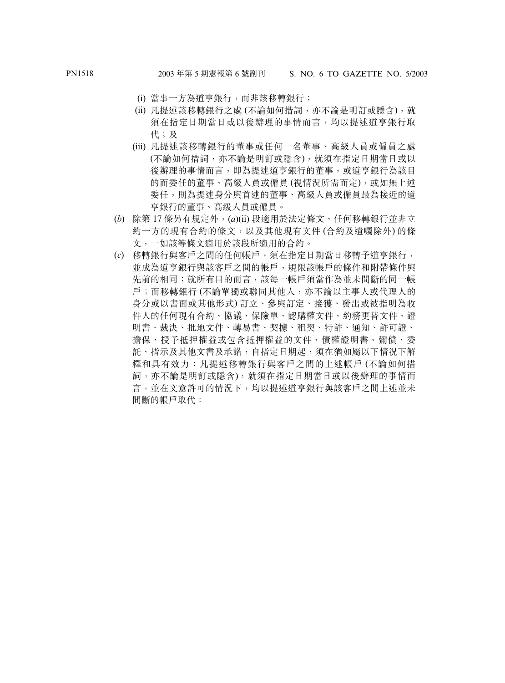- (i) 當事一方為道亨銀行,而非該移轉銀行;
- (ii) 凡提述該移轉銀行之處 (不論如何措詞,亦不論是明訂或隱含),就 須在指定日期當日或以後辦理的事情而言,均以提述道亨銀行取 代;及
- (iii) 凡提述該移轉銀行的董事或任何一名董事、高級人員或僱員之處 (不論如何措詞,亦不論是明訂或隱含),就須在指定日期當日或以 後辦理的事情而言,即為提述道亨銀行的董事,或道亨銀行為該目 的而委任的董事、高級人員或僱員 (視情況所需而定),或如無上述 委任,則為提述身分與首述的董事、高級人員或僱員最為接近的道 亨銀行的董事、高級人員或僱員。
- (*b*) 除第 17 條另有規定外,(*a*)(ii) 段適用於法定條文、任何移轉銀行並非立 約一方的現有合約的條文,以及其他現有文件 (合約及遺囑除外) 的條 文,一如該等條文適用於該段所適用的合約。
- (*c*) 移轉銀行與客戶之間的任何帳戶,須在指定日期當日移轉予道亨銀行, 並成為道亨銀行與該客戶之間的帳戶,規限該帳戶的條件和附帶條件與 先前的相同;就所有目的而言,該每一帳戶須當作為並未間斷的同一帳 戶;而移轉銀行 (不論單獨或聯同其他人,亦不論以主事人或代理人的 身分或以書面或其他形式) 訂立、參與訂定、接獲、發出或被指明為收 件人的任何現有合約、協議、保險單、認購權文件、約務更替文件、證 明書、裁決、批地文件、轉易書、契據、租契、特許、通知、許可證、 擔保、授予抵押權益或包含抵押權益的文件、債權證明書、彌償、委 託、指示及其他文書及承諾,自指定日期起,須在猶如屬以下情況下解 釋和具有效力:凡提述移轉銀行與客戶之間的上述帳戶 (不論如何措 詞,亦不論是明訂或隱含),就須在指定日期當日或以後辦理的事情而 言,並在文意許可的情況下,均以提述道亨銀行與該客戶之間上述並未 間斷的帳戶取代: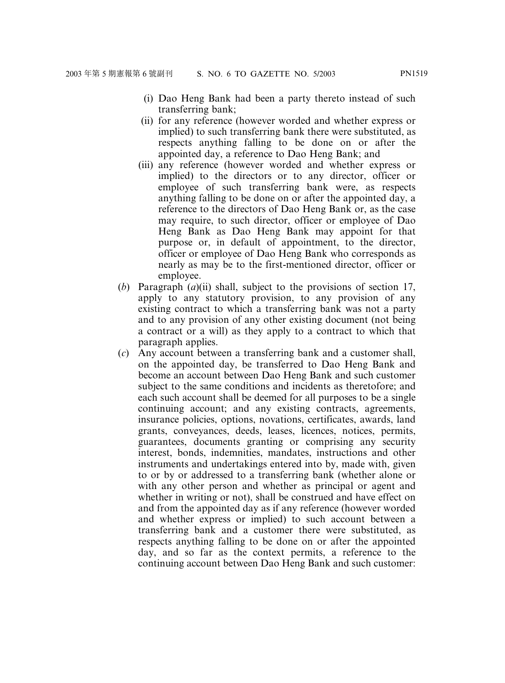- (i) Dao Heng Bank had been a party thereto instead of such transferring bank;
- (ii) for any reference (however worded and whether express or implied) to such transferring bank there were substituted, as respects anything falling to be done on or after the appointed day, a reference to Dao Heng Bank; and
- (iii) any reference (however worded and whether express or implied) to the directors or to any director, officer or employee of such transferring bank were, as respects anything falling to be done on or after the appointed day, a reference to the directors of Dao Heng Bank or, as the case may require, to such director, officer or employee of Dao Heng Bank as Dao Heng Bank may appoint for that purpose or, in default of appointment, to the director, officer or employee of Dao Heng Bank who corresponds as nearly as may be to the first-mentioned director, officer or employee.
- (*b*) Paragraph (*a*)(ii) shall, subject to the provisions of section 17, apply to any statutory provision, to any provision of any existing contract to which a transferring bank was not a party and to any provision of any other existing document (not being a contract or a will) as they apply to a contract to which that paragraph applies.
- (*c*) Any account between a transferring bank and a customer shall, on the appointed day, be transferred to Dao Heng Bank and become an account between Dao Heng Bank and such customer subject to the same conditions and incidents as theretofore; and each such account shall be deemed for all purposes to be a single continuing account; and any existing contracts, agreements, insurance policies, options, novations, certificates, awards, land grants, conveyances, deeds, leases, licences, notices, permits, guarantees, documents granting or comprising any security interest, bonds, indemnities, mandates, instructions and other instruments and undertakings entered into by, made with, given to or by or addressed to a transferring bank (whether alone or with any other person and whether as principal or agent and whether in writing or not), shall be construed and have effect on and from the appointed day as if any reference (however worded and whether express or implied) to such account between a transferring bank and a customer there were substituted, as respects anything falling to be done on or after the appointed day, and so far as the context permits, a reference to the continuing account between Dao Heng Bank and such customer: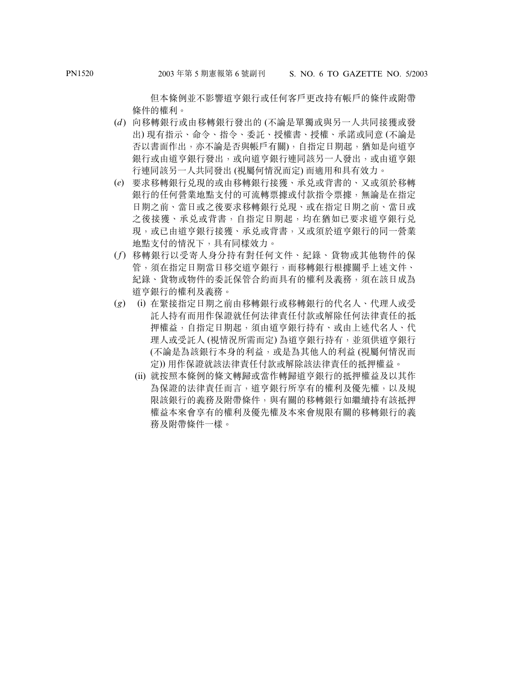但本條例並不影響道亨銀行或任何客戶更改持有帳戶的條件或附帶 條件的權利。

- (*d* ) 向移轉銀行或由移轉銀行發出的 (不論是單獨或與另一人共同接獲或發 出) 現有指示、命令、指令、委託、授權書、授權、承諾或同意 (不論是 否以書面作出,亦不論是否與帳戶有關),自指定日期起,猶如是向道亨 銀行或由道亨銀行發出,或向道亨銀程行連同該另一人發出,或由道亨銀 行連同該另一人共同發出 (視屬何情況而定) 而適用和具有效力。
- (*e*) 要求移轉銀行兌現的或由移轉銀行接獲、承兌或背書的、又或須於移轉 銀行的任何營業地點支付的可流轉票據或付款指令票據,無論是在指定 日期之前、當日或之後要求移轉銀行兌現、或在指定日期之前、當日或 之後接獲、承兑或背書,自指定日期起,均在猶如已要求道亨銀行兑 現,或已由道亨銀行接獲、承兑或背書,又或須於道亨銀行的同一營業 地點支付的情況下,具有同樣效力。
- (*f*) 移轉銀行以受寄人身分持有對任何文件、紀錄、貨物或其他物件的保 管,須在指定日期當日移交道亨銀行,而移轉銀行根據關乎上述文件、 紀錄、貨物或物件的委託保管合約而具有的權利及義務,須在該日成為 道亨銀行的權利及義務。
- (*g*) (i) 在緊接指定日期之前由移轉銀行或移轉銀行的代名人、代理人或受 託人持有而用作保證就任何法律責任付款或解除任何法律責任的抵 押權益,自指定日期起,須由道亨銀行持有、或由上述代名人、代 理人或受託人 (視情況所需而定) 為道亨銀行持有,並須供道亨銀行 (不論是為該銀行本身的利益,或是為其他人的利益 (視屬何情況而 定)) 用作保證就該法律責任付款或解除該法律責任的抵押權益。
	- (ii) 就按照本條例的條文轉歸或當作轉歸道亨銀行的抵押權益及以其作 為保證的法律責任而言,道亨銀行所享有的權利及優先權,以及規 限該銀行的義務及附帶條件,與有關的移轉銀行如繼續持有該抵押 權益本來會享有的權利及優先權及本來會規限有關的移轉銀行的義 務及附帶條件一樣。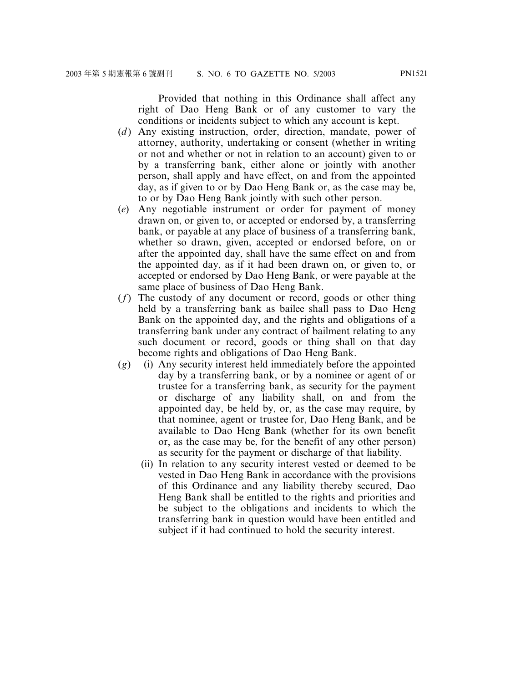Provided that nothing in this Ordinance shall affect any right of Dao Heng Bank or of any customer to vary the conditions or incidents subject to which any account is kept.

- (*d*) Any existing instruction, order, direction, mandate, power of attorney, authority, undertaking or consent (whether in writing or not and whether or not in relation to an account) given to or by a transferring bank, either alone or jointly with another person, shall apply and have effect, on and from the appointed day, as if given to or by Dao Heng Bank or, as the case may be, to or by Dao Heng Bank jointly with such other person.
- (*e*) Any negotiable instrument or order for payment of money drawn on, or given to, or accepted or endorsed by, a transferring bank, or payable at any place of business of a transferring bank, whether so drawn, given, accepted or endorsed before, on or after the appointed day, shall have the same effect on and from the appointed day, as if it had been drawn on, or given to, or accepted or endorsed by Dao Heng Bank, or were payable at the same place of business of Dao Heng Bank.
- (*f*) The custody of any document or record, goods or other thing held by a transferring bank as bailee shall pass to Dao Heng Bank on the appointed day, and the rights and obligations of a transferring bank under any contract of bailment relating to any such document or record, goods or thing shall on that day become rights and obligations of Dao Heng Bank.
- (*g*) (i) Any security interest held immediately before the appointed day by a transferring bank, or by a nominee or agent of or trustee for a transferring bank, as security for the payment or discharge of any liability shall, on and from the appointed day, be held by, or, as the case may require, by that nominee, agent or trustee for, Dao Heng Bank, and be available to Dao Heng Bank (whether for its own benefit or, as the case may be, for the benefit of any other person) as security for the payment or discharge of that liability.
	- (ii) In relation to any security interest vested or deemed to be vested in Dao Heng Bank in accordance with the provisions of this Ordinance and any liability thereby secured, Dao Heng Bank shall be entitled to the rights and priorities and be subject to the obligations and incidents to which the transferring bank in question would have been entitled and subject if it had continued to hold the security interest.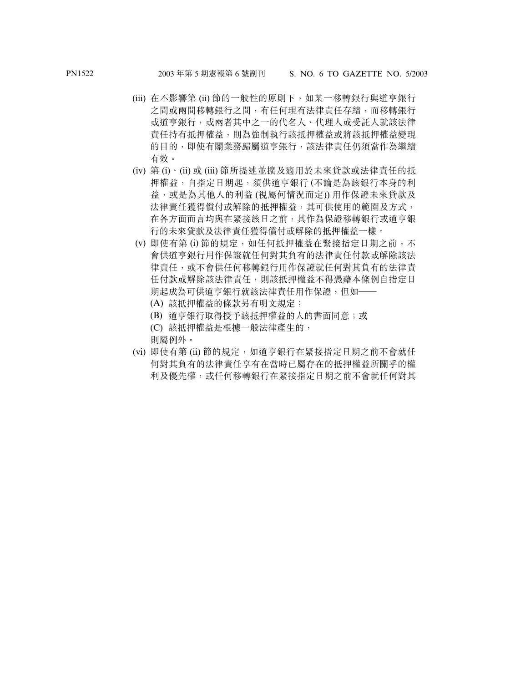- (iii) 在不影響第 (ii) 節的一般性的原則下,如某一移轉銀行與道亨銀行 之間或兩間移轉銀行之間,有任何現有法律責任存續,而移轉銀行 或道亨銀行,或兩者其中之一的代名人、代理人或受託人就該法律 責任持有抵押權益,則為強制執行該抵押權益或將該抵押權益變現 的目的,即使有關業務歸屬道亨銀行,該法律責任仍須當作為繼續 有效。
- (iv) 第 (i)、(ii) 或 (iii) 節所提述並擴及適用於未來貸款或法律責任的抵 押權益,自指定日期起,須供道亨銀行 (不論是為該銀行本身的利 益,或是為其他人的利益 (視屬何情況而定)) 用作保證未來貸款及 法律責任獲得償付或解除的抵押權益,其可供使用的範圍及方式, 在各方面而言均與在緊接該日之前,其作為保證移轉銀行或道亨銀 行的未來貸款及法律責任獲得償付或解除的抵押權益一樣。
- (v) 即使有第 (i) 節的規定, 如任何抵押權益在緊接指定日期之前, 不 會供道亨銀行用作保證就任何對其負有的法律責任付款或解除該法 律責任,或不會供任何移轉銀行用作保證就任何對其負有的法律責 任付款或解除該法律責任,則該抵押權益不得憑藉本條例自指定日 期起成為可供道亨銀行就該法律責任用作保證, 但如一
	- (A) 該抵押權益的條款另有明文規定;
	- (B) 道亨銀行取得授予該抵押權益的人的書面同意;或
	- (C) 該抵押權益是根據一般法律產生的,

則屬例外。

(vi) 即使有第 (ii) 節的規定, 如道亨銀行在緊接指定日期之前不會就任 何對其負有的法律責任享有在當時已屬存在的抵押權益所關乎的權 利及優先權,或任何移轉銀行在緊接指定日期之前不會就任何對其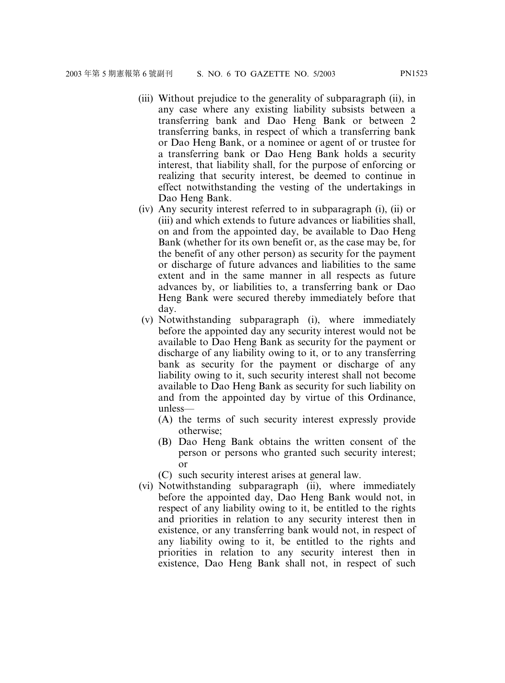- (iii) Without prejudice to the generality of subparagraph (ii), in any case where any existing liability subsists between a transferring bank and Dao Heng Bank or between 2 transferring banks, in respect of which a transferring bank or Dao Heng Bank, or a nominee or agent of or trustee for a transferring bank or Dao Heng Bank holds a security interest, that liability shall, for the purpose of enforcing or realizing that security interest, be deemed to continue in effect notwithstanding the vesting of the undertakings in Dao Heng Bank.
- (iv) Any security interest referred to in subparagraph (i), (ii) or (iii) and which extends to future advances or liabilities shall, on and from the appointed day, be available to Dao Heng Bank (whether for its own benefit or, as the case may be, for the benefit of any other person) as security for the payment or discharge of future advances and liabilities to the same extent and in the same manner in all respects as future advances by, or liabilities to, a transferring bank or Dao Heng Bank were secured thereby immediately before that day.
- (v) Notwithstanding subparagraph (i), where immediately before the appointed day any security interest would not be available to Dao Heng Bank as security for the payment or discharge of any liability owing to it, or to any transferring bank as security for the payment or discharge of any liability owing to it, such security interest shall not become available to Dao Heng Bank as security for such liability on and from the appointed day by virtue of this Ordinance, unless—
	- (A) the terms of such security interest expressly provide otherwise;
	- (B) Dao Heng Bank obtains the written consent of the person or persons who granted such security interest; or
	- (C) such security interest arises at general law.
- (vi) Notwithstanding subparagraph (ii), where immediately before the appointed day, Dao Heng Bank would not, in respect of any liability owing to it, be entitled to the rights and priorities in relation to any security interest then in existence, or any transferring bank would not, in respect of any liability owing to it, be entitled to the rights and priorities in relation to any security interest then in existence, Dao Heng Bank shall not, in respect of such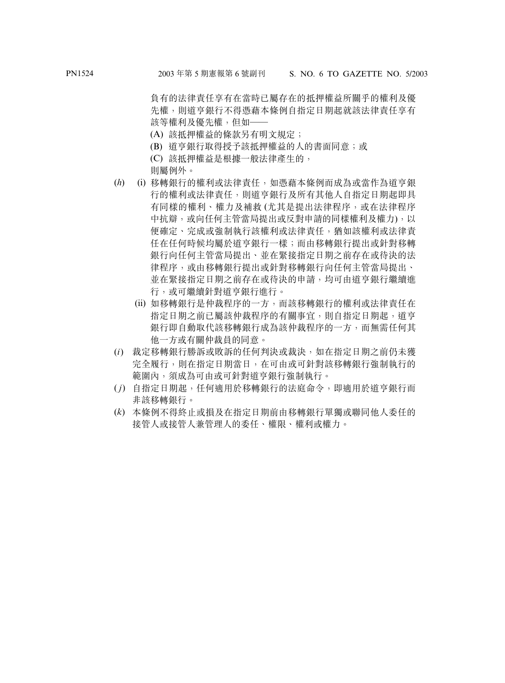負有的法律責任享有在當時已屬存在的抵押權益所關乎的權利及優 先權,則道亨銀行不得憑藉本條例自指定日期起就該法律責任享有 該等權利及優先權,但如——

- (A) 該抵押權益的條款另有明文規定;
- (B) 道亨銀行取得授予該抵押權益的人的書面同意;或
- (C) 該抵押權益是根據一般法律產生的,
- 則屬例外。
- (*h*) (i) 移轉銀行的權利或法律責任,如憑藉本條例而成為或當作為道亨銀 行的權利或法律責任,則道亨銀行及所有其他人自指定日期起即具 有同樣的權利、權力及補救 (尤其是提出法律程序,或在法律程序 中抗辯,或向任何主管當局提出或反對申請的同樣權利及權力),以 便確定、完成或強制執行該權利或法律責任,猶如該權利或法律責 任在任何時候均屬於道亨銀行一樣;而由移轉銀行提出或針對移轉 銀行向任何主管當局提出、並在緊接指定日期之前存在或待決的法 律程序,或由移轉銀行提出或針對移轉銀行向任何主管當局提出、 並在緊接指定日期之前存在或待決的申請,均可由道亨銀行繼續進 行,或可繼續針對道亨銀行進行。
	- (ii) 如移轉銀行是仲裁程序的一方,而該移轉銀行的權利或法律責任在 指定日期之前已屬該仲裁程序的有關事宜,則自指定日期起,道亨 銀行即自動取代該移轉銀行成為該仲裁程序的一方,而無需任何其 他一方或有關仲裁員的同意。
- (*i*) 裁定移轉銀行勝訴或敗訴的任何判決或裁決,如在指定日期之前仍未獲 完全履行,則在指定日期當日,在可由或可針對該移轉銀行強制執行的 範圍內,須成為可由或可針對道亨銀行強制執行。
- ( *j*) 自指定日期起,任何適用於移轉銀行的法庭命令,即適用於道亨銀行而 非該移轉銀行。
- (*k*) 本條例不得終止或損及在指定日期前由移轉銀行單獨或聯同他人委任的 接管人或接管人兼管理人的委任、權限、權利或權力。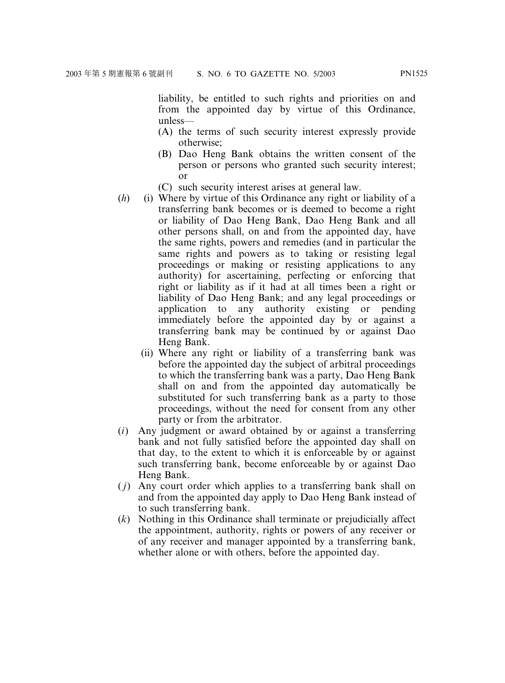liability, be entitled to such rights and priorities on and from the appointed day by virtue of this Ordinance,

- unless— (A) the terms of such security interest expressly provide otherwise;
- (B) Dao Heng Bank obtains the written consent of the person or persons who granted such security interest; or
- (C) such security interest arises at general law.
- (*h*) (i) Where by virtue of this Ordinance any right or liability of a transferring bank becomes or is deemed to become a right or liability of Dao Heng Bank, Dao Heng Bank and all other persons shall, on and from the appointed day, have the same rights, powers and remedies (and in particular the same rights and powers as to taking or resisting legal proceedings or making or resisting applications to any authority) for ascertaining, perfecting or enforcing that right or liability as if it had at all times been a right or liability of Dao Heng Bank; and any legal proceedings or application to any authority existing or pending immediately before the appointed day by or against a transferring bank may be continued by or against Dao Heng Bank.
	- (ii) Where any right or liability of a transferring bank was before the appointed day the subject of arbitral proceedings to which the transferring bank was a party, Dao Heng Bank shall on and from the appointed day automatically be substituted for such transferring bank as a party to those proceedings, without the need for consent from any other party or from the arbitrator.
- (*i*) Any judgment or award obtained by or against a transferring bank and not fully satisfied before the appointed day shall on that day, to the extent to which it is enforceable by or against such transferring bank, become enforceable by or against Dao Heng Bank.
- ( *j*) Any court order which applies to a transferring bank shall on and from the appointed day apply to Dao Heng Bank instead of to such transferring bank.
- (*k*) Nothing in this Ordinance shall terminate or prejudicially affect the appointment, authority, rights or powers of any receiver or of any receiver and manager appointed by a transferring bank, whether alone or with others, before the appointed day.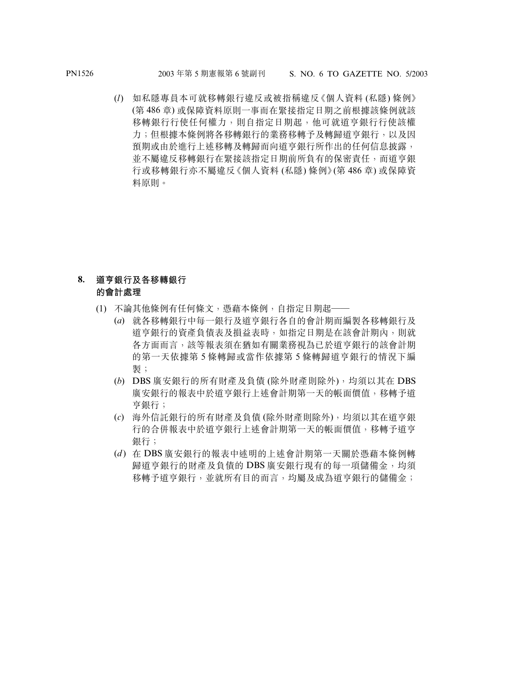(*l*) 如私隱專員本可就移轉銀行違反或被指稱違反《個人資料 (私隱) 條例》 (第 486 章) 或保障資料原則一事而在緊接指定日期之前根據該條例就該 移轉銀行行使任何權力,則自指定日期起,他可就道亨銀行行使該權 力;但根據本條例將各移轉銀行的業務移轉予及轉歸道亨銀行,以及因 預期或由於進行上述移轉及轉歸而向道亨銀行所作出的任何信息披露, 並不屬違反移轉銀行在緊接該指定日期前所負有的保密責任,而道亨銀 行或移轉銀行亦不屬違反《個人資料 (私隱) 條例》(第 486 章) 或保障資 料原則。

#### **8. 道亨銀行及各移轉銀行 的會計處理**

- (1) 不論其他條例有任何條文,憑藉本條例,自指定日期起——
	- (*a*) 就各移轉銀行中每一銀行及道亨銀行各自的會計期而編製各移轉銀行及 道亨銀行的資產負債表及損益表時,如指定日期是在該會計期內,則就 各方面而言,該等報表須在猶如有關業務視為已於道亨銀行的該會計期 的第一天依據第 5 條轉歸或當作依據第 5 條轉歸道亨銀行的情況下編 製;
	- (*b*) DBS 廣安銀行的所有財產及負債 (除外財產則除外),均須以其在 DBS 廣安銀行的報表中於道亨銀行上述會計期第一天的帳面價值,移轉予道 亨銀行;
	- (*c*) 海外信託銀行的所有財產及負債 (除外財產則除外),均須以其在道亨銀 行的合併報表中於道亨銀行上述會計期第一天的帳面價值,移轉予道亨 銀行;
	- (*d* ) 在 DBS 廣安銀行的報表中述明的上述會計期第一天關於憑藉本條例轉 歸道亨銀行的財產及負債的 DBS 廣安銀行現有的每一項儲備金,均須 移轉予道亨銀行,並就所有目的而言,均屬及成為道亨銀行的儲備金;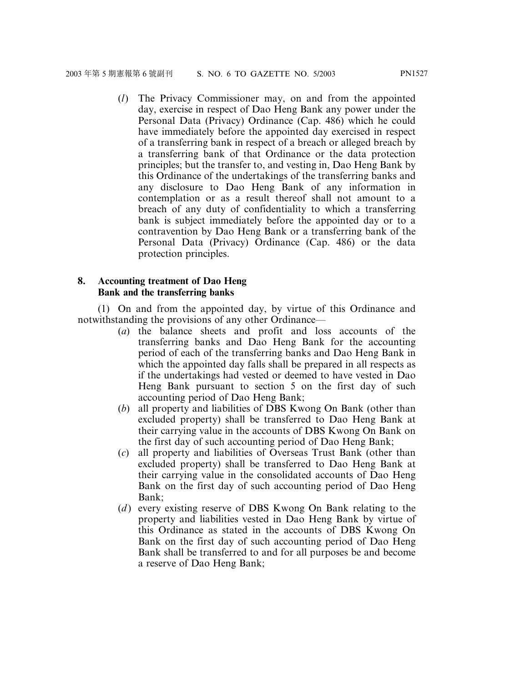(*l*) The Privacy Commissioner may, on and from the appointed day, exercise in respect of Dao Heng Bank any power under the Personal Data (Privacy) Ordinance (Cap. 486) which he could have immediately before the appointed day exercised in respect of a transferring bank in respect of a breach or alleged breach by a transferring bank of that Ordinance or the data protection principles; but the transfer to, and vesting in, Dao Heng Bank by this Ordinance of the undertakings of the transferring banks and any disclosure to Dao Heng Bank of any information in contemplation or as a result thereof shall not amount to a breach of any duty of confidentiality to which a transferring bank is subject immediately before the appointed day or to a contravention by Dao Heng Bank or a transferring bank of the Personal Data (Privacy) Ordinance (Cap. 486) or the data protection principles.

#### **8. Accounting treatment of Dao Heng Bank and the transferring banks**

(1) On and from the appointed day, by virtue of this Ordinance and notwithstanding the provisions of any other Ordinance—

- (*a*) the balance sheets and profit and loss accounts of the transferring banks and Dao Heng Bank for the accounting period of each of the transferring banks and Dao Heng Bank in which the appointed day falls shall be prepared in all respects as if the undertakings had vested or deemed to have vested in Dao Heng Bank pursuant to section 5 on the first day of such accounting period of Dao Heng Bank;
- (*b*) all property and liabilities of DBS Kwong On Bank (other than excluded property) shall be transferred to Dao Heng Bank at their carrying value in the accounts of DBS Kwong On Bank on the first day of such accounting period of Dao Heng Bank;
- (*c*) all property and liabilities of Overseas Trust Bank (other than excluded property) shall be transferred to Dao Heng Bank at their carrying value in the consolidated accounts of Dao Heng Bank on the first day of such accounting period of Dao Heng Bank;
- (*d*) every existing reserve of DBS Kwong On Bank relating to the property and liabilities vested in Dao Heng Bank by virtue of this Ordinance as stated in the accounts of DBS Kwong On Bank on the first day of such accounting period of Dao Heng Bank shall be transferred to and for all purposes be and become a reserve of Dao Heng Bank;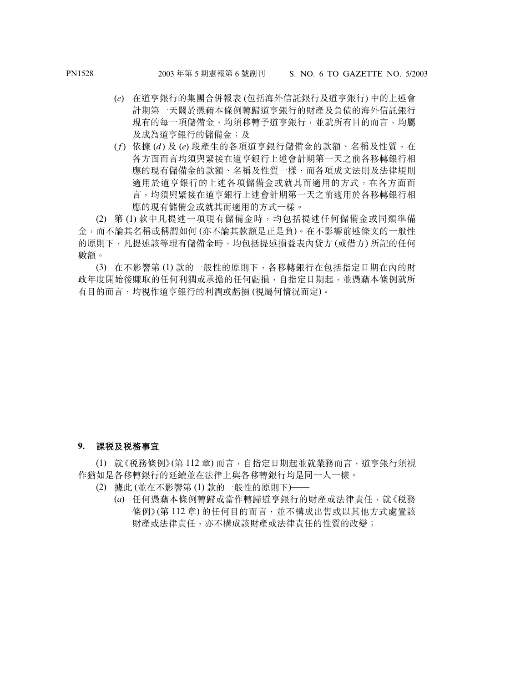- (*e*) 在道亨銀行的集團合併報表 (包括海外信託銀行及道亨銀行) 中的上述會 計期第一天關於憑藉本條例轉歸道亨銀行的財產及負債的海外信託銀行 現有的每一項儲備金,均須移轉予道亨銀行,並就所有目的而言,均屬 及成為道亨銀行的儲備金;及
- (*f*) 依據 (*d* ) 及 (*e*) 段產生的各項道亨銀行儲備金的款額、名稱及性質,在 各方面而言均須與緊接在道亨銀行上述會計期第一天之前各移轉銀行相 應的現有儲備金的款額、名稱及性質一樣,而各項成文法則及法律規則 適用於道亨銀行的上述各項儲備金或就其而適用的方式,在各方面而 言,均須與緊接在道亨銀行上述會計期第一天之前適用於各移轉銀行相 應的現有儲備金或就其而適用的方式一樣。

(2) 第 (1) 款中凡提述一項現有儲備金時,均包括提述任何儲備金或同類準備 金,而不論其名稱或稱謂如何 (亦不論其款額是正是負)。在不影響前述條文的一般性 的原則下,凡提述該等現有儲備金時,均包括提述損益表內貸方 (或借方) 所記的任何 數額。

(3) 在不影響第 (1) 款的一般性的原則下,各移轉銀行在包括指定日期在內的財 政年度開始後賺取的任何測潤或承擔的任何虧損,自指定日期起,並憑藉本條例就所 有目的而言,均視作道亨銀行的利潤或虧損 (視屬何情況而定)。

#### **9. 課稅及稅務事宜**

(1) 就《稅務條例》(第 112 章) 而言,自指定日期起並就業務而言,道亨銀行須視 作猶如是各移轉銀行的延續並在法律上與各移轉銀行均是同一人一樣。

- (2) 據此 (並在不影響第 (1) 款的一般性的原則下)——
	- (*a*) 任何憑藉本條例轉歸或當作轉歸道亨銀行的財產或法律責任,就《稅務 條例》(第112章)的任何目的而言,並不構成出售或以其他方式處置該 財產或法律責任,亦不構成該財產或法律責任的性質的改變;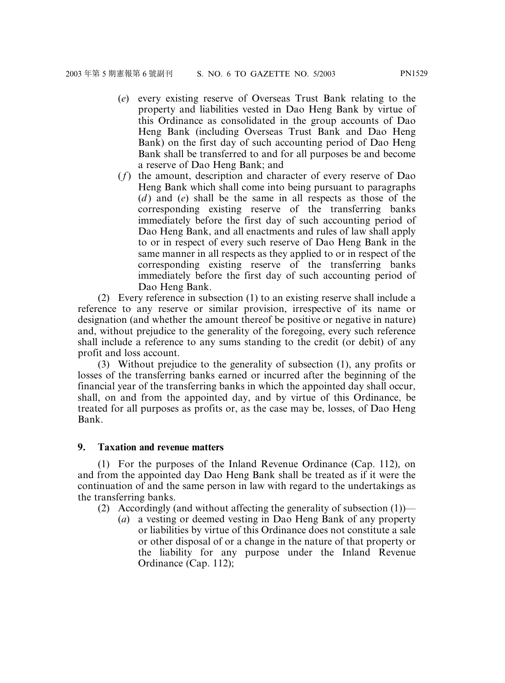- (*e*) every existing reserve of Overseas Trust Bank relating to the property and liabilities vested in Dao Heng Bank by virtue of this Ordinance as consolidated in the group accounts of Dao Heng Bank (including Overseas Trust Bank and Dao Heng Bank) on the first day of such accounting period of Dao Heng Bank shall be transferred to and for all purposes be and become a reserve of Dao Heng Bank; and
- (*f*) the amount, description and character of every reserve of Dao Heng Bank which shall come into being pursuant to paragraphs (*d* ) and (*e*) shall be the same in all respects as those of the corresponding existing reserve of the transferring banks immediately before the first day of such accounting period of Dao Heng Bank, and all enactments and rules of law shall apply to or in respect of every such reserve of Dao Heng Bank in the same manner in all respects as they applied to or in respect of the corresponding existing reserve of the transferring banks immediately before the first day of such accounting period of Dao Heng Bank.

(2) Every reference in subsection (1) to an existing reserve shall include a reference to any reserve or similar provision, irrespective of its name or designation (and whether the amount thereof be positive or negative in nature) and, without prejudice to the generality of the foregoing, every such reference shall include a reference to any sums standing to the credit (or debit) of any profit and loss account.

(3) Without prejudice to the generality of subsection (1), any profits or losses of the transferring banks earned or incurred after the beginning of the financial year of the transferring banks in which the appointed day shall occur, shall, on and from the appointed day, and by virtue of this Ordinance, be treated for all purposes as profits or, as the case may be, losses, of Dao Heng Bank.

#### **9. Taxation and revenue matters**

(1) For the purposes of the Inland Revenue Ordinance (Cap. 112), on and from the appointed day Dao Heng Bank shall be treated as if it were the continuation of and the same person in law with regard to the undertakings as the transferring banks.

(2) Accordingly (and without affecting the generality of subsection (1))—

(*a*) a vesting or deemed vesting in Dao Heng Bank of any property or liabilities by virtue of this Ordinance does not constitute a sale or other disposal of or a change in the nature of that property or the liability for any purpose under the Inland Revenue Ordinance (Cap. 112);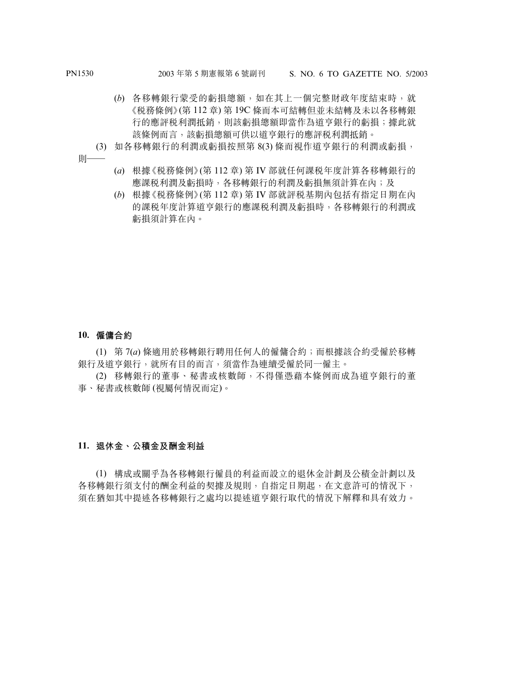- (*b*) 各移轉銀行蒙受的虧損總額,如在其上一個完整財政年度結束時,就 《稅務條例》(第 112 章) 第 19C 條而本可結轉但並未結轉及未以各移轉銀 行的應評稅利潤抵銷,則該虧損總額即當作為道亨銀行的虧損;據此就 該條例而言,該虧損總額可供以道亨銀行的應評稅利潤抵銷。
- (3) 如各移轉銀行的利潤或虧損按照第 8(3) 條而視作道亨銀行的利潤或虧損,

則——

- (*a*) 根據《稅務條例》(第 112 章) 第 IV 部就任何課稅年度計算各移轉銀行的 應課税利潤及虧損時,各移轉銀行的利潤及虧損無須計算在內;及
- (*b*) 根據《稅務條例》(第 112 章) 第 IV 部就評稅基期內包括有指定日期在內 的課稅年度計算道亨銀行的應課稅利潤及虧損時,各移轉銀行的利潤或 虧損須計算在內。

#### **10. 僱傭合約**

(1) 第 7(*a*) 條適用於移轉銀行聘用任何人的僱傭合約;而根據該合約受僱於移轉 銀行及道亨銀行,就所有目的而言,須當作為連續受僱於同一僱主。

(2) 移轉銀行的董事、秘書或核數師,不得僅憑藉本條例而成為道亨銀行的董 事、秘書或核數師 (視屬何情況而定)。

#### **11. 退休金、公積金及酬金利益**

(1) 構成或關乎為各移轉銀行僱員的利益而設立的退休金計劃及公積金計劃以及 各移轉銀行須支付的酬金利益的契據及規則,自指定日期起,在文意許可的情況下, 須在猶如其中提述各移轉銀行之處均以提述道亨銀行取代的情況下解釋和具有效力。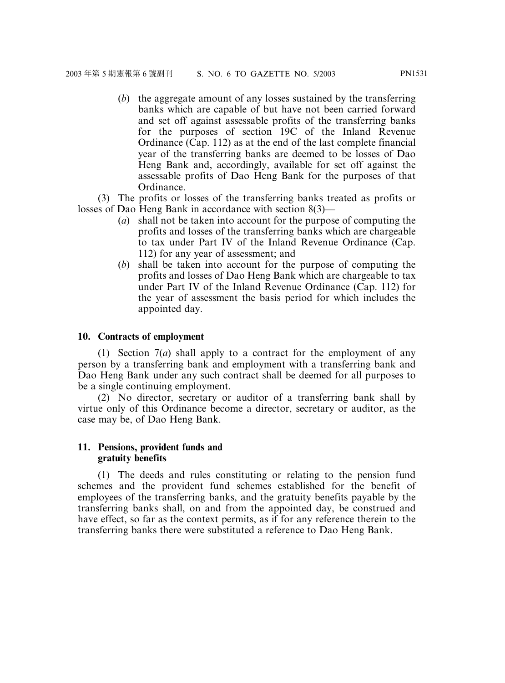(*b*) the aggregate amount of any losses sustained by the transferring banks which are capable of but have not been carried forward and set off against assessable profits of the transferring banks for the purposes of section 19C of the Inland Revenue Ordinance (Cap. 112) as at the end of the last complete financial year of the transferring banks are deemed to be losses of Dao Heng Bank and, accordingly, available for set off against the assessable profits of Dao Heng Bank for the purposes of that Ordinance.

(3) The profits or losses of the transferring banks treated as profits or losses of Dao Heng Bank in accordance with section 8(3)—

- (*a*) shall not be taken into account for the purpose of computing the profits and losses of the transferring banks which are chargeable to tax under Part IV of the Inland Revenue Ordinance (Cap. 112) for any year of assessment; and
- (*b*) shall be taken into account for the purpose of computing the profits and losses of Dao Heng Bank which are chargeable to tax under Part IV of the Inland Revenue Ordinance (Cap. 112) for the year of assessment the basis period for which includes the appointed day.

#### **10. Contracts of employment**

(1) Section 7(*a*) shall apply to a contract for the employment of any person by a transferring bank and employment with a transferring bank and Dao Heng Bank under any such contract shall be deemed for all purposes to be a single continuing employment.

(2) No director, secretary or auditor of a transferring bank shall by virtue only of this Ordinance become a director, secretary or auditor, as the case may be, of Dao Heng Bank.

#### **11. Pensions, provident funds and gratuity benefits**

(1) The deeds and rules constituting or relating to the pension fund schemes and the provident fund schemes established for the benefit of employees of the transferring banks, and the gratuity benefits payable by the transferring banks shall, on and from the appointed day, be construed and have effect, so far as the context permits, as if for any reference therein to the transferring banks there were substituted a reference to Dao Heng Bank.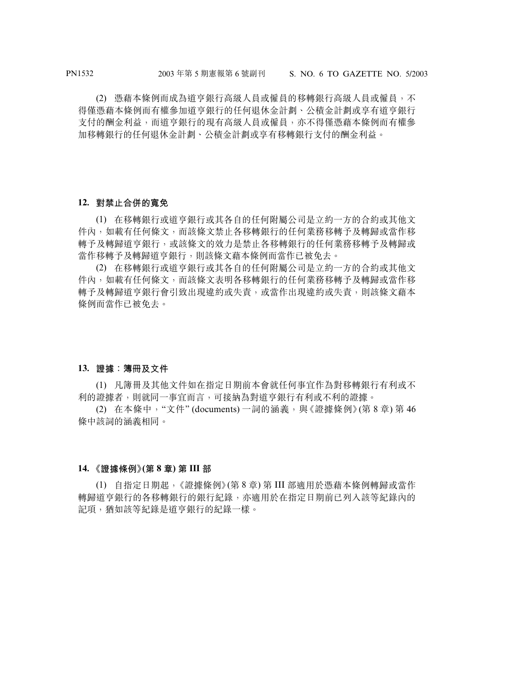(2) 憑藉本條例而成為道亨銀行高級人員或僱員的移轉銀行高級人員或僱員,不 得僅憑藉本條例而有權參加道亨銀行的任何退休金計劃、公積金計劃或享有道亨銀行 支付的酬金利益,而道亨銀行的現有高級人員或僱員,亦不得僅憑藉本條例而有權參 加移轉銀行的任何退休金計劃、公積金計劃或享有移轉銀行支付的酬金利益。

#### **12. 對禁止合併的寬免**

(1) 在移轉銀行或道亨銀行或其各自的任何附屬公司是立約一方的合約或其他文 件內,如載有任何條文,而該條文禁止各移轉銀行的任何業務移轉予及轉歸或當作移 轉予及轉歸道亨銀行,或該條文的效力是禁止各移轉銀行的任何業務移轉予及轉歸或 當作移轉予及轉歸道亨銀行,則該條文藉本條例而當作已被免去。

(2) 在移轉銀行或道亨銀行或其各自的任何附屬公司是立約一方的合約或其他文 件內,如載有任何條文,而該條文表明各移轉銀行的任何業務移轉予及轉歸或當作移 轉予及轉歸道亨銀行會引致出現違約或失責,或當作出現違約或失責,則該條文藉本 條例而當作已被免去。

#### **13. 證據:簿冊及文件**

(1) 凡簿冊及其他文件如在指定日期前本會就任何事宜作為對移轉銀行有利或不 利的證據者,則就同一事宜而言,可接納為對道亨銀行有利或不利的證據。

(2) 在本條中, "文件" (documents) 一詞的涵義, 與《證據條例》(第 8章) 第 46 條中該詞的涵義相同。

#### **14. 《證據條例》(第 8 章) 第 III 部**

(1) 自指定日期起,《證據條例》(第 8 章) 第 III 部適用於憑藉本條例轉歸或當作 轉歸道亨銀行的各移轉銀行的銀行紀錄,亦適用於在指定日期前已列入該等紀錄內的 記項,猶如該等紀錄是道亨銀行的紀錄一樣。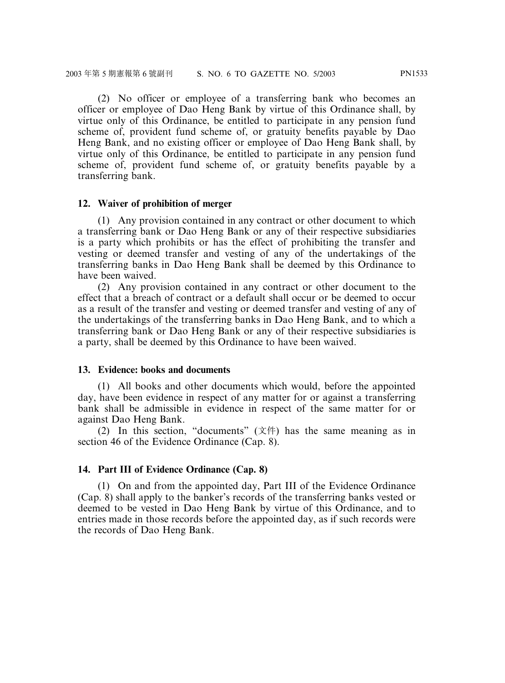(2) No officer or employee of a transferring bank who becomes an officer or employee of Dao Heng Bank by virtue of this Ordinance shall, by virtue only of this Ordinance, be entitled to participate in any pension fund scheme of, provident fund scheme of, or gratuity benefits payable by Dao Heng Bank, and no existing officer or employee of Dao Heng Bank shall, by virtue only of this Ordinance, be entitled to participate in any pension fund scheme of, provident fund scheme of, or gratuity benefits payable by a transferring bank.

#### **12. Waiver of prohibition of merger**

(1) Any provision contained in any contract or other document to which a transferring bank or Dao Heng Bank or any of their respective subsidiaries is a party which prohibits or has the effect of prohibiting the transfer and vesting or deemed transfer and vesting of any of the undertakings of the transferring banks in Dao Heng Bank shall be deemed by this Ordinance to have been waived.

(2) Any provision contained in any contract or other document to the effect that a breach of contract or a default shall occur or be deemed to occur as a result of the transfer and vesting or deemed transfer and vesting of any of the undertakings of the transferring banks in Dao Heng Bank, and to which a transferring bank or Dao Heng Bank or any of their respective subsidiaries is a party, shall be deemed by this Ordinance to have been waived.

#### **13. Evidence: books and documents**

(1) All books and other documents which would, before the appointed day, have been evidence in respect of any matter for or against a transferring bank shall be admissible in evidence in respect of the same matter for or against Dao Heng Bank.

(2) In this section, "documents" (文件) has the same meaning as in section 46 of the Evidence Ordinance (Cap. 8).

#### **14. Part III of Evidence Ordinance (Cap. 8)**

(1) On and from the appointed day, Part III of the Evidence Ordinance (Cap. 8) shall apply to the banker's records of the transferring banks vested or deemed to be vested in Dao Heng Bank by virtue of this Ordinance, and to entries made in those records before the appointed day, as if such records were the records of Dao Heng Bank.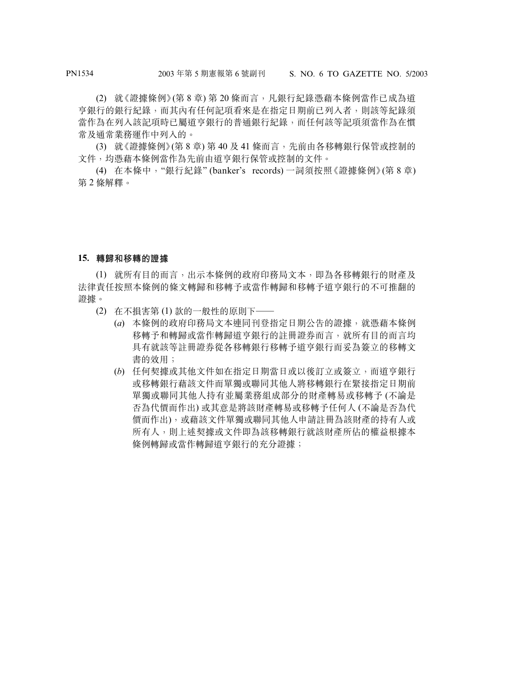(2) 就《證據條例》(第 8 章) 第 20 條而言,凡銀行紀錄憑藉本條例當作已成為道 亨銀行的銀行紀錄,而其內有任何記項看來是在指定日期前已列入者,則該等紀錄須 當作為在列入該記項時已屬道亨銀行的普通銀行紀錄,而任何該等記項須當作為在慣 常及通常業務運作中列入的。

(3) 就《證據條例》(第 8 章) 第 40 及 41 條而言,先前由各移轉銀行保管或控制的 文件,均憑藉本條例當作為先前由道亨銀行保管或控制的文件。

(4) 在本條中,"銀行紀錄" (banker's records) 一詞須按照《證據條例》(第 8 章) 第 2 條解釋。

#### **15. 轉歸和移轉的證據**

(1) 就所有目的而言,出示本條例的政府印務局文本,即為各移轉銀行的財產及 法律責任按照本條例的條文轉歸和移轉予或當作轉歸和移轉予道亨銀行的不可推翻的 證據。

- (2) 在不損害第 (1) 款的一般性的原則下——
	- (*a*) 本條例的政府印務局文本連同刊登指定日期公告的證據,就憑藉本條例 移轉予和轉歸或當作轉歸道亨銀行的註冊證券而言,就所有目的而言均 具有就該等註冊證券從各移轉銀行移轉予道亨銀行而妥為簽立的移轉文 書的效用;
	- (*b*) 任何契據或其他文件如在指定日期當日或以後訂立或簽立,而道亨銀行 或移轉銀行藉該文件而單獨或聯同其他人將移轉銀行在緊接指定日期前 單獨或聯同其他人持有並屬業務組成部分的財產轉易或移轉予 (不論是 否為代價而作出) 或其意是將該財產轉易或移轉予任何人 (不論是否為代 價而作出),或藉該文件單獨或聯同其他人申請註冊為該財產的持有人或 所有人,則上述契據或文件即為該移轉銀行就該財產所佔的權益根據本 條例轉歸或當作轉歸道亨銀行的充分證據;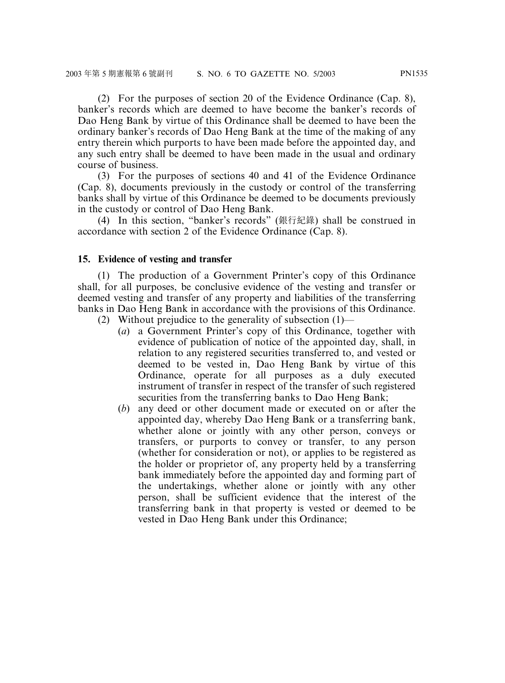(2) For the purposes of section 20 of the Evidence Ordinance (Cap. 8), banker's records which are deemed to have become the banker's records of Dao Heng Bank by virtue of this Ordinance shall be deemed to have been the ordinary banker's records of Dao Heng Bank at the time of the making of any entry therein which purports to have been made before the appointed day, and any such entry shall be deemed to have been made in the usual and ordinary course of business.

(3) For the purposes of sections 40 and 41 of the Evidence Ordinance (Cap. 8), documents previously in the custody or control of the transferring banks shall by virtue of this Ordinance be deemed to be documents previously in the custody or control of Dao Heng Bank.

(4) In this section, "banker's records" (銀行紀錄) shall be construed in accordance with section 2 of the Evidence Ordinance (Cap. 8).

#### **15. Evidence of vesting and transfer**

(1) The production of a Government Printer's copy of this Ordinance shall, for all purposes, be conclusive evidence of the vesting and transfer or deemed vesting and transfer of any property and liabilities of the transferring banks in Dao Heng Bank in accordance with the provisions of this Ordinance.

- (2) Without prejudice to the generality of subsection (1)—
	- (*a*) a Government Printer's copy of this Ordinance, together with evidence of publication of notice of the appointed day, shall, in relation to any registered securities transferred to, and vested or deemed to be vested in, Dao Heng Bank by virtue of this Ordinance, operate for all purposes as a duly executed instrument of transfer in respect of the transfer of such registered securities from the transferring banks to Dao Heng Bank;
	- (*b*) any deed or other document made or executed on or after the appointed day, whereby Dao Heng Bank or a transferring bank, whether alone or jointly with any other person, conveys or transfers, or purports to convey or transfer, to any person (whether for consideration or not), or applies to be registered as the holder or proprietor of, any property held by a transferring bank immediately before the appointed day and forming part of the undertakings, whether alone or jointly with any other person, shall be sufficient evidence that the interest of the transferring bank in that property is vested or deemed to be vested in Dao Heng Bank under this Ordinance;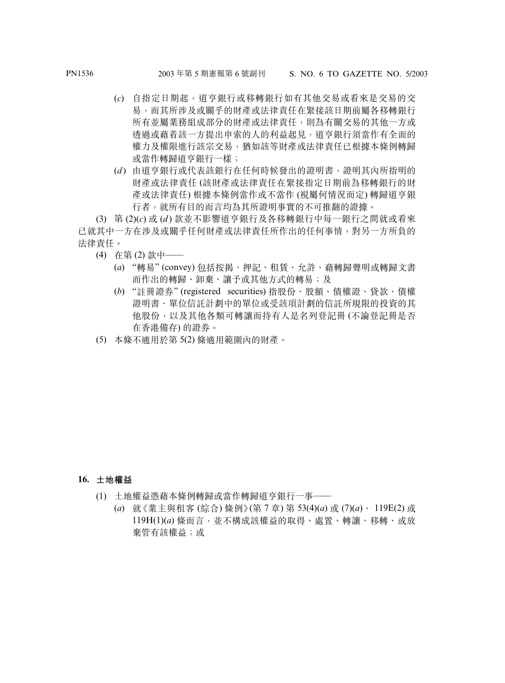- (*c*) 自指定日期起,道亨銀行或移轉銀行如有其他交易或看來是交易的交 易,而其所涉及或關乎的財產或法律責任在緊接該日期前屬各移轉銀行 所有並屬業務組成部分的財產或法律責任,則為有關交易的其他一方或 透過或藉着該一方提出申索的人的利益起見,道亨銀行須當作有全面的 權力及權限進行該宗交易,猶如該等財產或法律責任已根據本條例轉歸 或當作轉歸道亨銀行一樣;
- (*d* ) 由道亨銀行或代表該銀行在任何時候發出的證明書,證明其內所指明的 財產或法律責任 (該財產或法律責任在緊接指定日期前為移轉銀行的財 產或法律責任) 根據本條例當作或不當作 (視屬何情況而定) 轉歸道亨銀 行者,就所有目的而言均為其所證明事實的不可推翻的證據。

(3) 第 (2)(*c*) 或 (*d* ) 款並不影響道亨銀行及各移轉銀行中每一銀行之間就或看來 已就其中一方在涉及或關乎任何財產或法律責任所作出的任何事情,對另一方所負的 法律責任。

- (4) 在第 (2) 款中——
	- (*a*) "轉易" (convey) 包括按揭、押記、租賃、允許、藉轉歸聲明或轉歸文書 而作出的轉歸、卸棄、讓予或其他方式的轉易;及
	- (*b*) "註冊證券" (registered securities) 指股份、股額、債權證、貸款、債權 證明書、單位信託計劃中的單位或受該項計劃的信託所規限的投資的其 他股份,以及其他各類可轉讓而持有人是名列登記冊 (不論登記冊是否 在香港備存) 的證券。
- (5) 本條不適用於第 5(2) 條適用範圍內的財產。

- **16. 土地權益**
	- (1) 土地權益憑藉本條例轉歸或當作轉歸道亨銀行一事——
		- (*a*) 就《業主與租客 (綜合) 條例》(第 7 章) 第 53(4)(*a*) 或 (7)(*a*)、 119E(2) 或 119H(1)(*a*) 條而言,並不構成該權益的取得、處置、轉讓、移轉、或放 棄管有該權益;或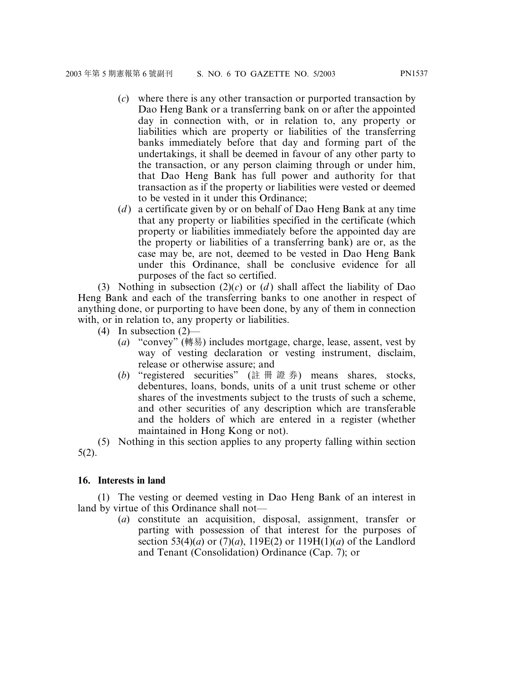- (*c*) where there is any other transaction or purported transaction by Dao Heng Bank or a transferring bank on or after the appointed day in connection with, or in relation to, any property or liabilities which are property or liabilities of the transferring banks immediately before that day and forming part of the undertakings, it shall be deemed in favour of any other party to the transaction, or any person claiming through or under him, that Dao Heng Bank has full power and authority for that transaction as if the property or liabilities were vested or deemed to be vested in it under this Ordinance;
- (*d* ) a certificate given by or on behalf of Dao Heng Bank at any time that any property or liabilities specified in the certificate (which property or liabilities immediately before the appointed day are the property or liabilities of a transferring bank) are or, as the case may be, are not, deemed to be vested in Dao Heng Bank under this Ordinance, shall be conclusive evidence for all purposes of the fact so certified.

(3) Nothing in subsection  $(2)(c)$  or  $(d)$  shall affect the liability of Dao Heng Bank and each of the transferring banks to one another in respect of anything done, or purporting to have been done, by any of them in connection with, or in relation to, any property or liabilities.

- (4) In subsection (2)—
	- (*a*) "convey" (轉易) includes mortgage, charge, lease, assent, vest by way of vesting declaration or vesting instrument, disclaim, release or otherwise assure; and
	- (*b*) "registered securities" (註冊證券) means shares, stocks, debentures, loans, bonds, units of a unit trust scheme or other shares of the investments subject to the trusts of such a scheme, and other securities of any description which are transferable and the holders of which are entered in a register (whether maintained in Hong Kong or not).

(5) Nothing in this section applies to any property falling within section 5(2).

#### **16. Interests in land**

(1) The vesting or deemed vesting in Dao Heng Bank of an interest in land by virtue of this Ordinance shall not—

(*a*) constitute an acquisition, disposal, assignment, transfer or parting with possession of that interest for the purposes of section 53(4)(*a*) or (7)(*a*), 119E(2) or 119H(1)(*a*) of the Landlord and Tenant (Consolidation) Ordinance (Cap. 7); or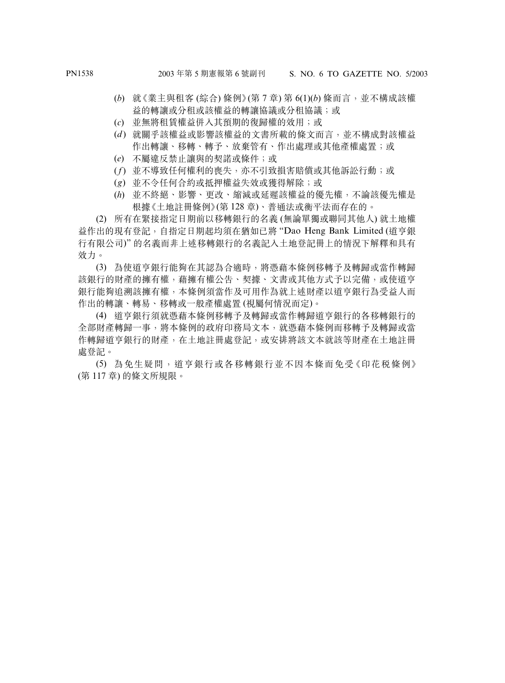- (*b*) 就《業主與租客 (綜合) 條例》(第 7 章) 第 6(1)(*b*) 條而言,並不構成該權 益的轉讓或分租或該權益的轉讓協議或分租協議;或
- (*c*) 並無將租賃權益併入其預期的復歸權的效用;或
- (*d* ) 就關乎該權益或影響該權益的文書所載的條文而言,並不構成對該權益 作出轉讓、移轉、轉予、放棄管有、作出處理或其他產權處置;或
- (*e*) 不屬違反禁止讓與的契諾或條件;或
- (*f*) 並不導致任何權利的喪失,亦不引致損害賠償或其他訴訟行動;或
- (*g*) 並不令任何合約或抵押權益失效或獲得解除;或
- (*h*) 並不終絕、影響、更改、縮減或延遲該權益的優先權,不論該優先權是 根據《土地註冊條例》(第 128 章)、普通法或衡平法而存在的。

(2) 所有在緊接指定日期前以移轉銀行的名義 (無論單獨或聯同其他人) 就土地權 益作出的現有登記,自指定日期起均須在猶如已將 "Dao Heng Bank Limited (道亨銀 行有限公司)" 的名義而非上述移轉銀行的名義記入土地登記冊上的情況下解釋和具有 效力。

(3) 為使道亨銀行能夠在其認為合適時,將憑藉本條例移轉予及轉歸或當作轉歸 該銀行的財產的擁有權,藉擁有權公告、契據、文書或其他方式予以完備,或使道亨 銀行能夠追溯該擁有權,本條例須當作及可用作為就上述財產以道亨銀行為受益人而 作出的轉讓、轉易、移轉或一般產權處置 (視屬何情況而定)。

(4) 道亨銀行須就憑藉本條例移轉予及轉歸或當作轉歸道亨銀行的各移轉銀行的 全部財產轉歸一事,將本條例的政府印務局文本,就憑藉本條例而移轉予及轉歸或當 作轉歸道亨銀行的財產,在土地註冊處登記,或安排將該文本就該等財產在土地註冊 處登記。

(5) 為免生疑問,道亨銀行或各移轉銀行並不因本條而免受《印花稅條例》 (第 117 章) 的條文所規限。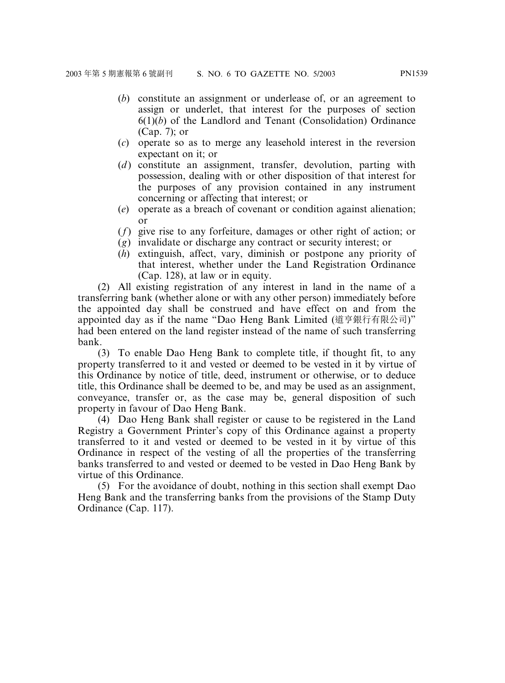- (*b*) constitute an assignment or underlease of, or an agreement to assign or underlet, that interest for the purposes of section 6(1)(*b*) of the Landlord and Tenant (Consolidation) Ordinance (Cap. 7); or
- (*c*) operate so as to merge any leasehold interest in the reversion expectant on it; or
- (*d*) constitute an assignment, transfer, devolution, parting with possession, dealing with or other disposition of that interest for the purposes of any provision contained in any instrument concerning or affecting that interest; or
- (*e*) operate as a breach of covenant or condition against alienation; or
- (*f*) give rise to any forfeiture, damages or other right of action; or
- (*g*) invalidate or discharge any contract or security interest; or
- (*h*) extinguish, affect, vary, diminish or postpone any priority of that interest, whether under the Land Registration Ordinance (Cap. 128), at law or in equity.

(2) All existing registration of any interest in land in the name of a transferring bank (whether alone or with any other person) immediately before the appointed day shall be construed and have effect on and from the appointed day as if the name "Dao Heng Bank Limited (道亨銀行有限公司)" had been entered on the land register instead of the name of such transferring bank.

(3) To enable Dao Heng Bank to complete title, if thought fit, to any property transferred to it and vested or deemed to be vested in it by virtue of this Ordinance by notice of title, deed, instrument or otherwise, or to deduce title, this Ordinance shall be deemed to be, and may be used as an assignment, conveyance, transfer or, as the case may be, general disposition of such property in favour of Dao Heng Bank.

(4) Dao Heng Bank shall register or cause to be registered in the Land Registry a Government Printer's copy of this Ordinance against a property transferred to it and vested or deemed to be vested in it by virtue of this Ordinance in respect of the vesting of all the properties of the transferring banks transferred to and vested or deemed to be vested in Dao Heng Bank by virtue of this Ordinance.

(5) For the avoidance of doubt, nothing in this section shall exempt Dao Heng Bank and the transferring banks from the provisions of the Stamp Duty Ordinance (Cap. 117).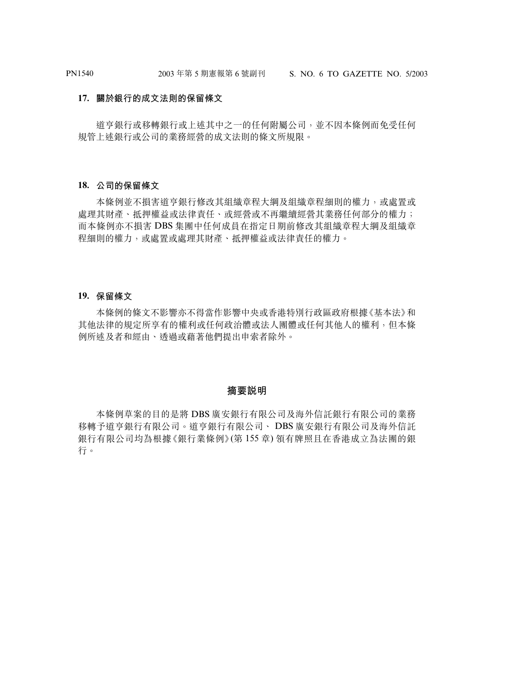#### **17. 關於銀行的成文法則的保留條文**

道亨銀行或移轉銀行或上述其中之一的任何附屬公司,並不因本條例而免受任何 規管上述銀行或公司的業務經營的成文法則的條文所規限。

#### **18. 公司的保留條文**

本條例並不損害道亨銀行修改其組織章程大綱及組織章程細則的權力,或處置或 處理其財產、抵押權益或法律責任、或經營或不再繼續經營其業務任何部分的權力; 而本條例亦不損害 DBS 集團中任何成員在指定日期前修改其組織章程大綱及組織章 程細則的權力,或處置或處理其財產、抵押權益或法律責任的權力。

#### **19. 保留條文**

本條例的條文不影響亦不得當作影響中央或香港特別行政區政府根據《基本法》和 其他法律的規定所享有的權利或任何政治體或法人團體或任何其他人的權利,但本條 例所述及者和經由、透過或藉著他們提出申索者除外。

#### **摘要說明**

本條例草案的目的是將 DBS 廣安銀行有限公司及海外信託銀行有限公司的業務 移轉予道亨銀行有限公司。道亨銀行有限公司、 DBS 廣安銀行有限公司及海外信託 銀行有限公司均為根據《銀行業條例》(第 155 章) 領有牌照且在香港成立為法團的銀 行。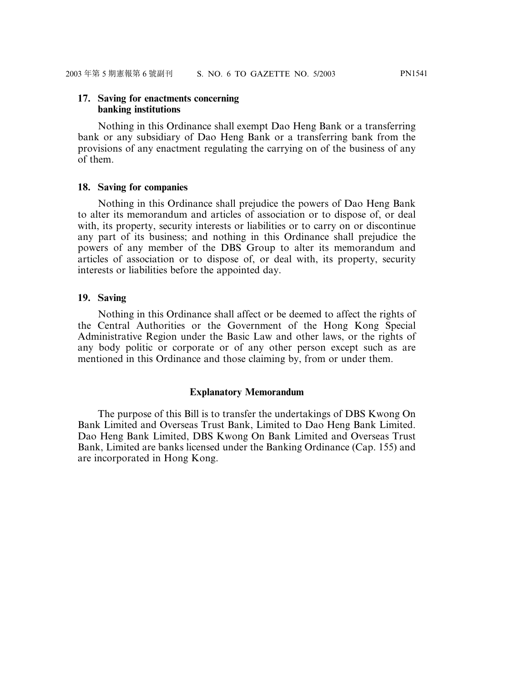# **17. Saving for enactments concerning**

#### **banking institutions**

Nothing in this Ordinance shall exempt Dao Heng Bank or a transferring bank or any subsidiary of Dao Heng Bank or a transferring bank from the provisions of any enactment regulating the carrying on of the business of any of them.

#### **18. Saving for companies**

Nothing in this Ordinance shall prejudice the powers of Dao Heng Bank to alter its memorandum and articles of association or to dispose of, or deal with, its property, security interests or liabilities or to carry on or discontinue any part of its business; and nothing in this Ordinance shall prejudice the powers of any member of the DBS Group to alter its memorandum and articles of association or to dispose of, or deal with, its property, security interests or liabilities before the appointed day.

#### **19. Saving**

Nothing in this Ordinance shall affect or be deemed to affect the rights of the Central Authorities or the Government of the Hong Kong Special Administrative Region under the Basic Law and other laws, or the rights of any body politic or corporate or of any other person except such as are mentioned in this Ordinance and those claiming by, from or under them.

#### **Explanatory Memorandum**

The purpose of this Bill is to transfer the undertakings of DBS Kwong On Bank Limited and Overseas Trust Bank, Limited to Dao Heng Bank Limited. Dao Heng Bank Limited, DBS Kwong On Bank Limited and Overseas Trust Bank, Limited are banks licensed under the Banking Ordinance (Cap. 155) and are incorporated in Hong Kong.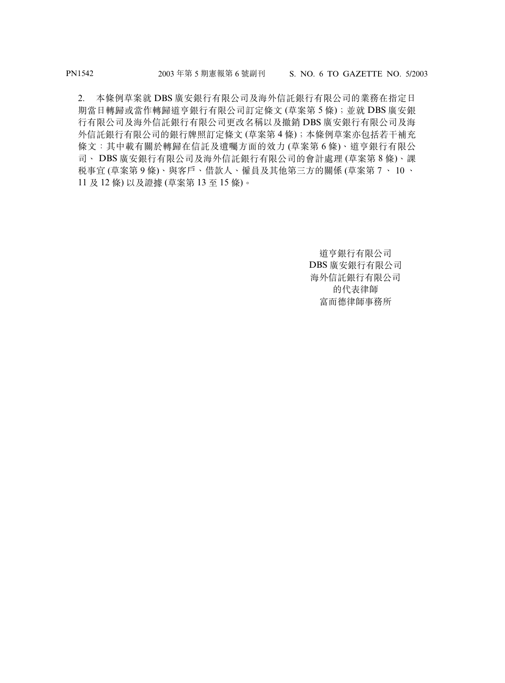2. 本條例草案就 DBS 廣安銀行有限公司及海外信託銀行有限公司的業務在指定日 期當日轉歸或當作轉歸道亨銀行有限公司訂定條文 (草案第 5 條);並就 DBS 廣安銀 行有限公司及海外信託銀行有限公司更改名稱以及撤銷 DBS 廣安銀行有限公司及海 外信託銀行有限公司的銀行牌照訂定條文 (草案第 4 條);本條例草案亦包括若干補充 條文:其中載有關於轉歸在信託及遺囑方面的效力 (草案第 6 條)、道亨銀行有限公 司、 DBS 廣安銀行有限公司及海外信託銀行有限公司的會計處理 (草案第 8 條)、課 稅事宜 (草案第 9 條)、與客戶、借款人、僱員及其他第三方的關係 (草案第 7 、 10 、 11 及 12 條) 以及證據 (草案第 13 至 15 條)。

> 道亨銀行有限公司 DBS 廣安銀行有限公司 海外信託銀行有限公司 的代表律師 富而德律師事務所